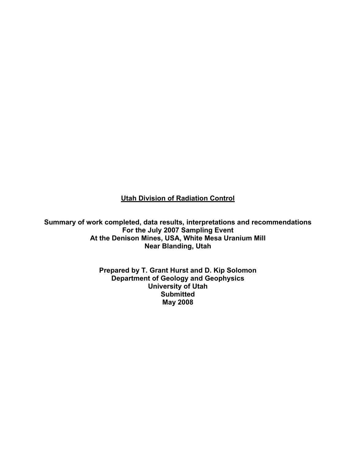**Utah Division of Radiation Control**

**Summary of work completed, data results, interpretations and recommendations For the July 2007 Sampling Event At the Denison Mines, USA, White Mesa Uranium Mill Near Blanding, Utah** 

> **Prepared by T. Grant Hurst and D. Kip Solomon Department of Geology and Geophysics University of Utah Submitted May 2008**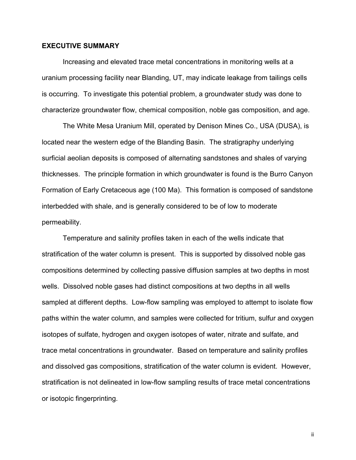# **EXECUTIVE SUMMARY**

Increasing and elevated trace metal concentrations in monitoring wells at a uranium processing facility near Blanding, UT, may indicate leakage from tailings cells is occurring. To investigate this potential problem, a groundwater study was done to characterize groundwater flow, chemical composition, noble gas composition, and age.

 The White Mesa Uranium Mill, operated by Denison Mines Co., USA (DUSA), is located near the western edge of the Blanding Basin. The stratigraphy underlying surficial aeolian deposits is composed of alternating sandstones and shales of varying thicknesses. The principle formation in which groundwater is found is the Burro Canyon Formation of Early Cretaceous age (100 Ma). This formation is composed of sandstone interbedded with shale, and is generally considered to be of low to moderate permeability.

 Temperature and salinity profiles taken in each of the wells indicate that stratification of the water column is present. This is supported by dissolved noble gas compositions determined by collecting passive diffusion samples at two depths in most wells. Dissolved noble gases had distinct compositions at two depths in all wells sampled at different depths. Low-flow sampling was employed to attempt to isolate flow paths within the water column, and samples were collected for tritium, sulfur and oxygen isotopes of sulfate, hydrogen and oxygen isotopes of water, nitrate and sulfate, and trace metal concentrations in groundwater. Based on temperature and salinity profiles and dissolved gas compositions, stratification of the water column is evident. However, stratification is not delineated in low-flow sampling results of trace metal concentrations or isotopic fingerprinting.

ii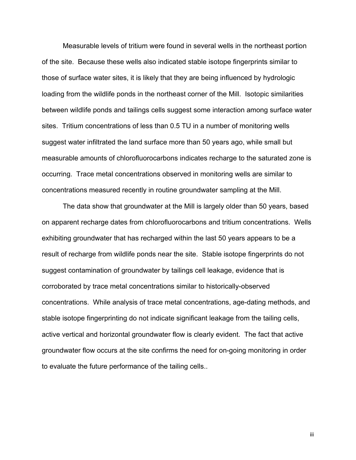Measurable levels of tritium were found in several wells in the northeast portion of the site. Because these wells also indicated stable isotope fingerprints similar to those of surface water sites, it is likely that they are being influenced by hydrologic loading from the wildlife ponds in the northeast corner of the Mill. Isotopic similarities between wildlife ponds and tailings cells suggest some interaction among surface water sites. Tritium concentrations of less than 0.5 TU in a number of monitoring wells suggest water infiltrated the land surface more than 50 years ago, while small but measurable amounts of chlorofluorocarbons indicates recharge to the saturated zone is occurring. Trace metal concentrations observed in monitoring wells are similar to concentrations measured recently in routine groundwater sampling at the Mill.

 The data show that groundwater at the Mill is largely older than 50 years, based on apparent recharge dates from chlorofluorocarbons and tritium concentrations. Wells exhibiting groundwater that has recharged within the last 50 years appears to be a result of recharge from wildlife ponds near the site. Stable isotope fingerprints do not suggest contamination of groundwater by tailings cell leakage, evidence that is corroborated by trace metal concentrations similar to historically-observed concentrations. While analysis of trace metal concentrations, age-dating methods, and stable isotope fingerprinting do not indicate significant leakage from the tailing cells, active vertical and horizontal groundwater flow is clearly evident. The fact that active groundwater flow occurs at the site confirms the need for on-going monitoring in order to evaluate the future performance of the tailing cells..

iii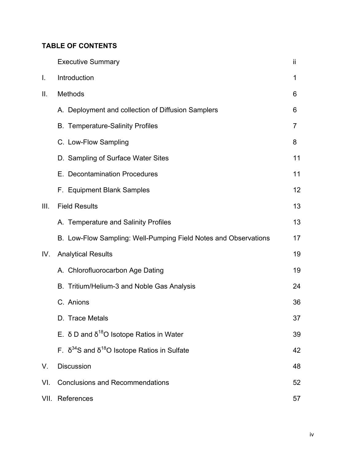# **TABLE OF CONTENTS**

|      | <b>Executive Summary</b>                                         | jj |
|------|------------------------------------------------------------------|----|
| I.   | Introduction                                                     | 1  |
| II.  | Methods                                                          | 6  |
|      | A. Deployment and collection of Diffusion Samplers               | 6  |
|      | <b>B.</b> Temperature-Salinity Profiles                          | 7  |
|      | C. Low-Flow Sampling                                             | 8  |
|      | D. Sampling of Surface Water Sites                               | 11 |
|      | E. Decontamination Procedures                                    | 11 |
|      | F. Equipment Blank Samples                                       | 12 |
| III. | <b>Field Results</b>                                             | 13 |
|      | A. Temperature and Salinity Profiles                             | 13 |
|      | B. Low-Flow Sampling: Well-Pumping Field Notes and Observations  | 17 |
| IV.  | <b>Analytical Results</b>                                        | 19 |
|      | A. Chlorofluorocarbon Age Dating                                 | 19 |
|      | B. Tritium/Helium-3 and Noble Gas Analysis                       | 24 |
|      | C. Anions                                                        | 36 |
|      | D. Trace Metals                                                  | 37 |
|      | E. δ D and $δ^{18}O$ Isotope Ratios in Water                     | 39 |
|      | F. $\delta^{34}$ S and $\delta^{18}$ O Isotope Ratios in Sulfate | 42 |
| V.   | <b>Discussion</b>                                                | 48 |
| VI.  | <b>Conclusions and Recommendations</b>                           | 52 |
| VII. | References                                                       | 57 |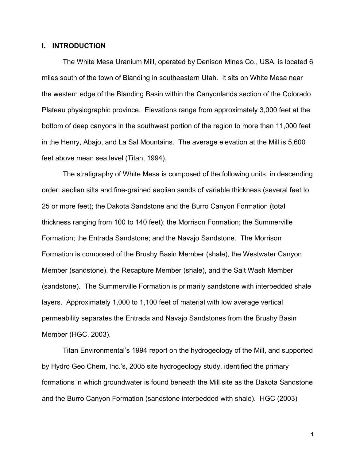# **I. INTRODUCTION**

The White Mesa Uranium Mill, operated by Denison Mines Co., USA, is located 6 miles south of the town of Blanding in southeastern Utah. It sits on White Mesa near the western edge of the Blanding Basin within the Canyonlands section of the Colorado Plateau physiographic province. Elevations range from approximately 3,000 feet at the bottom of deep canyons in the southwest portion of the region to more than 11,000 feet in the Henry, Abajo, and La Sal Mountains. The average elevation at the Mill is 5,600 feet above mean sea level (Titan, 1994).

 The stratigraphy of White Mesa is composed of the following units, in descending order: aeolian silts and fine-grained aeolian sands of variable thickness (several feet to 25 or more feet); the Dakota Sandstone and the Burro Canyon Formation (total thickness ranging from 100 to 140 feet); the Morrison Formation; the Summerville Formation; the Entrada Sandstone; and the Navajo Sandstone. The Morrison Formation is composed of the Brushy Basin Member (shale), the Westwater Canyon Member (sandstone), the Recapture Member (shale), and the Salt Wash Member (sandstone). The Summerville Formation is primarily sandstone with interbedded shale layers. Approximately 1,000 to 1,100 feet of material with low average vertical permeability separates the Entrada and Navajo Sandstones from the Brushy Basin Member (HGC, 2003).

 Titan Environmental's 1994 report on the hydrogeology of the Mill, and supported by Hydro Geo Chem, Inc.'s, 2005 site hydrogeology study, identified the primary formations in which groundwater is found beneath the Mill site as the Dakota Sandstone and the Burro Canyon Formation (sandstone interbedded with shale). HGC (2003)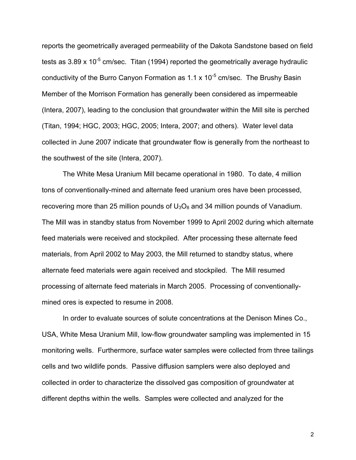reports the geometrically averaged permeability of the Dakota Sandstone based on field tests as  $3.89 \times 10^{-5}$  cm/sec. Titan (1994) reported the geometrically average hydraulic conductivity of the Burro Canyon Formation as  $1.1 \times 10^{-5}$  cm/sec. The Brushy Basin Member of the Morrison Formation has generally been considered as impermeable (Intera, 2007), leading to the conclusion that groundwater within the Mill site is perched (Titan, 1994; HGC, 2003; HGC, 2005; Intera, 2007; and others). Water level data collected in June 2007 indicate that groundwater flow is generally from the northeast to the southwest of the site (Intera, 2007).

 The White Mesa Uranium Mill became operational in 1980. To date, 4 million tons of conventionally-mined and alternate feed uranium ores have been processed, recovering more than 25 million pounds of  $U_3O_8$  and 34 million pounds of Vanadium. The Mill was in standby status from November 1999 to April 2002 during which alternate feed materials were received and stockpiled. After processing these alternate feed materials, from April 2002 to May 2003, the Mill returned to standby status, where alternate feed materials were again received and stockpiled. The Mill resumed processing of alternate feed materials in March 2005. Processing of conventionallymined ores is expected to resume in 2008.

 In order to evaluate sources of solute concentrations at the Denison Mines Co., USA, White Mesa Uranium Mill, low-flow groundwater sampling was implemented in 15 monitoring wells. Furthermore, surface water samples were collected from three tailings cells and two wildlife ponds. Passive diffusion samplers were also deployed and collected in order to characterize the dissolved gas composition of groundwater at different depths within the wells. Samples were collected and analyzed for the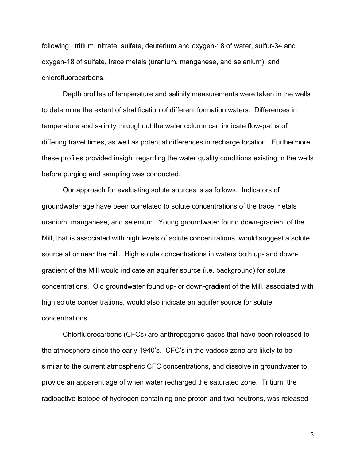following: tritium, nitrate, sulfate, deuterium and oxygen-18 of water, sulfur-34 and oxygen-18 of sulfate, trace metals (uranium, manganese, and selenium), and chlorofluorocarbons.

 Depth profiles of temperature and salinity measurements were taken in the wells to determine the extent of stratification of different formation waters. Differences in temperature and salinity throughout the water column can indicate flow-paths of differing travel times, as well as potential differences in recharge location. Furthermore, these profiles provided insight regarding the water quality conditions existing in the wells before purging and sampling was conducted.

 Our approach for evaluating solute sources is as follows. Indicators of groundwater age have been correlated to solute concentrations of the trace metals uranium, manganese, and selenium. Young groundwater found down-gradient of the Mill, that is associated with high levels of solute concentrations, would suggest a solute source at or near the mill. High solute concentrations in waters both up- and downgradient of the Mill would indicate an aquifer source (i.e. background) for solute concentrations. Old groundwater found up- or down-gradient of the Mill, associated with high solute concentrations, would also indicate an aquifer source for solute concentrations.

 Chlorfluorocarbons (CFCs) are anthropogenic gases that have been released to the atmosphere since the early 1940's. CFC's in the vadose zone are likely to be similar to the current atmospheric CFC concentrations, and dissolve in groundwater to provide an apparent age of when water recharged the saturated zone. Tritium, the radioactive isotope of hydrogen containing one proton and two neutrons, was released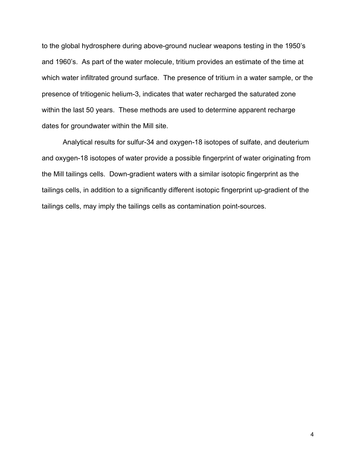to the global hydrosphere during above-ground nuclear weapons testing in the 1950's and 1960's. As part of the water molecule, tritium provides an estimate of the time at which water infiltrated ground surface. The presence of tritium in a water sample, or the presence of tritiogenic helium-3, indicates that water recharged the saturated zone within the last 50 years. These methods are used to determine apparent recharge dates for groundwater within the Mill site.

 Analytical results for sulfur-34 and oxygen-18 isotopes of sulfate, and deuterium and oxygen-18 isotopes of water provide a possible fingerprint of water originating from the Mill tailings cells. Down-gradient waters with a similar isotopic fingerprint as the tailings cells, in addition to a significantly different isotopic fingerprint up-gradient of the tailings cells, may imply the tailings cells as contamination point-sources.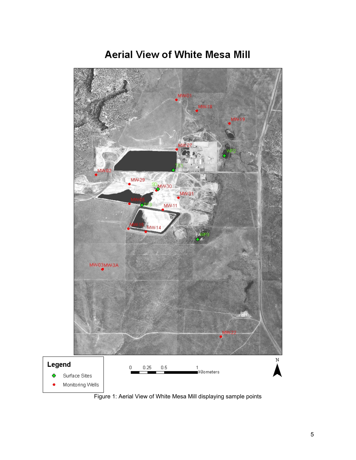

# **Aerial View of White Mesa Mill**

Figure 1: Aerial View of White Mesa Mill displaying sample points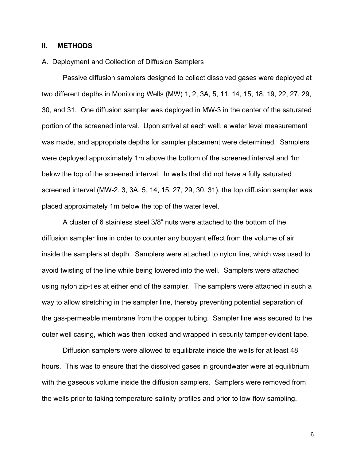# **II. METHODS**

# A. Deployment and Collection of Diffusion Samplers

 Passive diffusion samplers designed to collect dissolved gases were deployed at two different depths in Monitoring Wells (MW) 1, 2, 3A, 5, 11, 14, 15, 18, 19, 22, 27, 29, 30, and 31. One diffusion sampler was deployed in MW-3 in the center of the saturated portion of the screened interval. Upon arrival at each well, a water level measurement was made, and appropriate depths for sampler placement were determined. Samplers were deployed approximately 1m above the bottom of the screened interval and 1m below the top of the screened interval. In wells that did not have a fully saturated screened interval (MW-2, 3, 3A, 5, 14, 15, 27, 29, 30, 31), the top diffusion sampler was placed approximately 1m below the top of the water level.

 A cluster of 6 stainless steel 3/8" nuts were attached to the bottom of the diffusion sampler line in order to counter any buoyant effect from the volume of air inside the samplers at depth. Samplers were attached to nylon line, which was used to avoid twisting of the line while being lowered into the well. Samplers were attached using nylon zip-ties at either end of the sampler. The samplers were attached in such a way to allow stretching in the sampler line, thereby preventing potential separation of the gas-permeable membrane from the copper tubing. Sampler line was secured to the outer well casing, which was then locked and wrapped in security tamper-evident tape.

Diffusion samplers were allowed to equilibrate inside the wells for at least 48 hours. This was to ensure that the dissolved gases in groundwater were at equilibrium with the gaseous volume inside the diffusion samplers. Samplers were removed from the wells prior to taking temperature-salinity profiles and prior to low-flow sampling.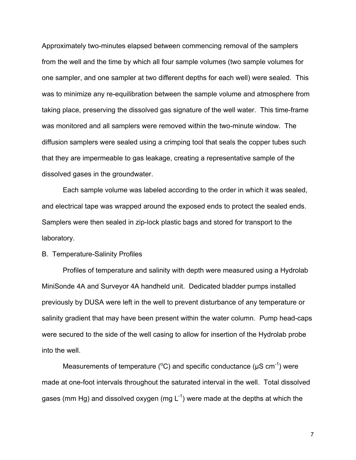Approximately two-minutes elapsed between commencing removal of the samplers from the well and the time by which all four sample volumes (two sample volumes for one sampler, and one sampler at two different depths for each well) were sealed. This was to minimize any re-equilibration between the sample volume and atmosphere from taking place, preserving the dissolved gas signature of the well water. This time-frame was monitored and all samplers were removed within the two-minute window. The diffusion samplers were sealed using a crimping tool that seals the copper tubes such that they are impermeable to gas leakage, creating a representative sample of the dissolved gases in the groundwater.

 Each sample volume was labeled according to the order in which it was sealed, and electrical tape was wrapped around the exposed ends to protect the sealed ends. Samplers were then sealed in zip-lock plastic bags and stored for transport to the laboratory.

## B. Temperature-Salinity Profiles

 Profiles of temperature and salinity with depth were measured using a Hydrolab MiniSonde 4A and Surveyor 4A handheld unit. Dedicated bladder pumps installed previously by DUSA were left in the well to prevent disturbance of any temperature or salinity gradient that may have been present within the water column. Pump head-caps were secured to the side of the well casing to allow for insertion of the Hydrolab probe into the well.

Measurements of temperature ( ${}^{\circ}$ C) and specific conductance ( $\mu$ S cm<sup>-1</sup>) were made at one-foot intervals throughout the saturated interval in the well. Total dissolved gases (mm Hg) and dissolved oxygen (mg  $L^{-1}$ ) were made at the depths at which the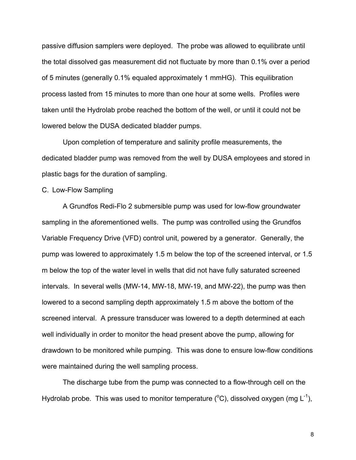passive diffusion samplers were deployed. The probe was allowed to equilibrate until the total dissolved gas measurement did not fluctuate by more than 0.1% over a period of 5 minutes (generally 0.1% equaled approximately 1 mmHG). This equilibration process lasted from 15 minutes to more than one hour at some wells. Profiles were taken until the Hydrolab probe reached the bottom of the well, or until it could not be lowered below the DUSA dedicated bladder pumps.

 Upon completion of temperature and salinity profile measurements, the dedicated bladder pump was removed from the well by DUSA employees and stored in plastic bags for the duration of sampling.

#### C. Low-Flow Sampling

 A Grundfos Redi-Flo 2 submersible pump was used for low-flow groundwater sampling in the aforementioned wells. The pump was controlled using the Grundfos Variable Frequency Drive (VFD) control unit, powered by a generator. Generally, the pump was lowered to approximately 1.5 m below the top of the screened interval, or 1.5 m below the top of the water level in wells that did not have fully saturated screened intervals. In several wells (MW-14, MW-18, MW-19, and MW-22), the pump was then lowered to a second sampling depth approximately 1.5 m above the bottom of the screened interval. A pressure transducer was lowered to a depth determined at each well individually in order to monitor the head present above the pump, allowing for drawdown to be monitored while pumping. This was done to ensure low-flow conditions were maintained during the well sampling process.

The discharge tube from the pump was connected to a flow-through cell on the Hydrolab probe. This was used to monitor temperature ( $\rm{^o}C$ ), dissolved oxygen (mg L<sup>-1</sup>),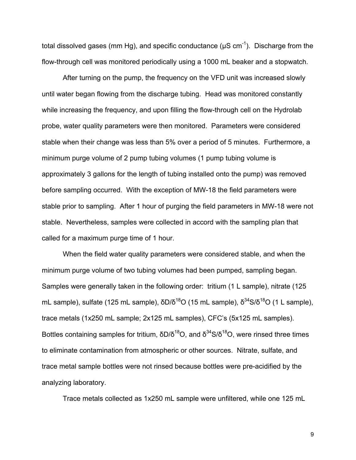total dissolved gases (mm Hg), and specific conductance ( $\mu$ S cm<sup>-1</sup>). Discharge from the flow-through cell was monitored periodically using a 1000 mL beaker and a stopwatch.

 After turning on the pump, the frequency on the VFD unit was increased slowly until water began flowing from the discharge tubing. Head was monitored constantly while increasing the frequency, and upon filling the flow-through cell on the Hydrolab probe, water quality parameters were then monitored. Parameters were considered stable when their change was less than 5% over a period of 5 minutes. Furthermore, a minimum purge volume of 2 pump tubing volumes (1 pump tubing volume is approximately 3 gallons for the length of tubing installed onto the pump) was removed before sampling occurred. With the exception of MW-18 the field parameters were stable prior to sampling. After 1 hour of purging the field parameters in MW-18 were not stable. Nevertheless, samples were collected in accord with the sampling plan that called for a maximum purge time of 1 hour.

 When the field water quality parameters were considered stable, and when the minimum purge volume of two tubing volumes had been pumped, sampling began. Samples were generally taken in the following order: tritium (1 L sample), nitrate (125 mL sample), sulfate (125 mL sample),  $\delta D/\delta^{18}$ O (15 mL sample),  $\delta^{34}$ S/ $\delta^{18}$ O (1 L sample), trace metals (1x250 mL sample; 2x125 mL samples), CFC's (5x125 mL samples). Bottles containing samples for tritium,  $\delta D/\delta^{18}O$ , and  $\delta^{34}S/\delta^{18}O$ , were rinsed three times to eliminate contamination from atmospheric or other sources. Nitrate, sulfate, and trace metal sample bottles were not rinsed because bottles were pre-acidified by the analyzing laboratory.

Trace metals collected as 1x250 mL sample were unfiltered, while one 125 mL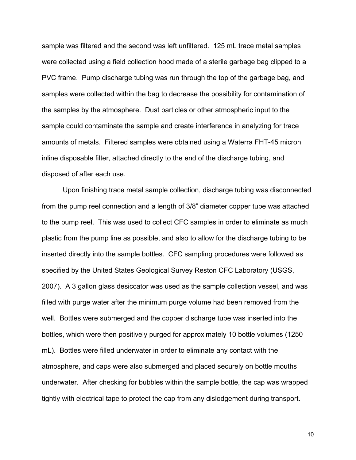sample was filtered and the second was left unfiltered. 125 mL trace metal samples were collected using a field collection hood made of a sterile garbage bag clipped to a PVC frame. Pump discharge tubing was run through the top of the garbage bag, and samples were collected within the bag to decrease the possibility for contamination of the samples by the atmosphere. Dust particles or other atmospheric input to the sample could contaminate the sample and create interference in analyzing for trace amounts of metals. Filtered samples were obtained using a Waterra FHT-45 micron inline disposable filter, attached directly to the end of the discharge tubing, and disposed of after each use.

 Upon finishing trace metal sample collection, discharge tubing was disconnected from the pump reel connection and a length of 3/8" diameter copper tube was attached to the pump reel. This was used to collect CFC samples in order to eliminate as much plastic from the pump line as possible, and also to allow for the discharge tubing to be inserted directly into the sample bottles. CFC sampling procedures were followed as specified by the United States Geological Survey Reston CFC Laboratory (USGS, 2007). A 3 gallon glass desiccator was used as the sample collection vessel, and was filled with purge water after the minimum purge volume had been removed from the well. Bottles were submerged and the copper discharge tube was inserted into the bottles, which were then positively purged for approximately 10 bottle volumes (1250 mL). Bottles were filled underwater in order to eliminate any contact with the atmosphere, and caps were also submerged and placed securely on bottle mouths underwater. After checking for bubbles within the sample bottle, the cap was wrapped tightly with electrical tape to protect the cap from any dislodgement during transport.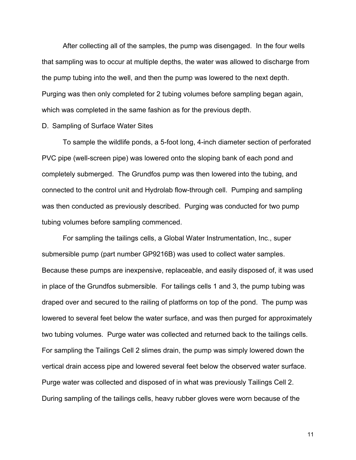After collecting all of the samples, the pump was disengaged. In the four wells that sampling was to occur at multiple depths, the water was allowed to discharge from the pump tubing into the well, and then the pump was lowered to the next depth. Purging was then only completed for 2 tubing volumes before sampling began again, which was completed in the same fashion as for the previous depth.

#### D. Sampling of Surface Water Sites

 To sample the wildlife ponds, a 5-foot long, 4-inch diameter section of perforated PVC pipe (well-screen pipe) was lowered onto the sloping bank of each pond and completely submerged. The Grundfos pump was then lowered into the tubing, and connected to the control unit and Hydrolab flow-through cell. Pumping and sampling was then conducted as previously described. Purging was conducted for two pump tubing volumes before sampling commenced.

 For sampling the tailings cells, a Global Water Instrumentation, Inc., super submersible pump (part number GP9216B) was used to collect water samples. Because these pumps are inexpensive, replaceable, and easily disposed of, it was used in place of the Grundfos submersible. For tailings cells 1 and 3, the pump tubing was draped over and secured to the railing of platforms on top of the pond. The pump was lowered to several feet below the water surface, and was then purged for approximately two tubing volumes. Purge water was collected and returned back to the tailings cells. For sampling the Tailings Cell 2 slimes drain, the pump was simply lowered down the vertical drain access pipe and lowered several feet below the observed water surface. Purge water was collected and disposed of in what was previously Tailings Cell 2. During sampling of the tailings cells, heavy rubber gloves were worn because of the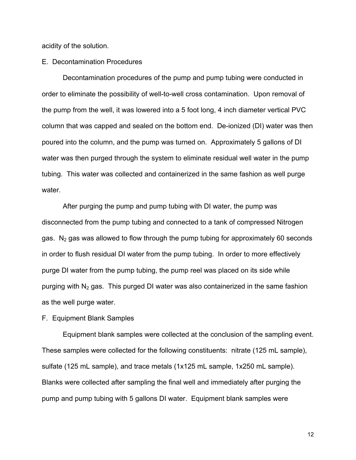acidity of the solution.

E. Decontamination Procedures

 Decontamination procedures of the pump and pump tubing were conducted in order to eliminate the possibility of well-to-well cross contamination. Upon removal of the pump from the well, it was lowered into a 5 foot long, 4 inch diameter vertical PVC column that was capped and sealed on the bottom end. De-ionized (DI) water was then poured into the column, and the pump was turned on. Approximately 5 gallons of DI water was then purged through the system to eliminate residual well water in the pump tubing. This water was collected and containerized in the same fashion as well purge water.

After purging the pump and pump tubing with DI water, the pump was disconnected from the pump tubing and connected to a tank of compressed Nitrogen gas.  $N_2$  gas was allowed to flow through the pump tubing for approximately 60 seconds in order to flush residual DI water from the pump tubing. In order to more effectively purge DI water from the pump tubing, the pump reel was placed on its side while purging with  $N_2$  gas. This purged DI water was also containerized in the same fashion as the well purge water.

F. Equipment Blank Samples

Equipment blank samples were collected at the conclusion of the sampling event. These samples were collected for the following constituents: nitrate (125 mL sample), sulfate (125 mL sample), and trace metals (1x125 mL sample, 1x250 mL sample). Blanks were collected after sampling the final well and immediately after purging the pump and pump tubing with 5 gallons DI water. Equipment blank samples were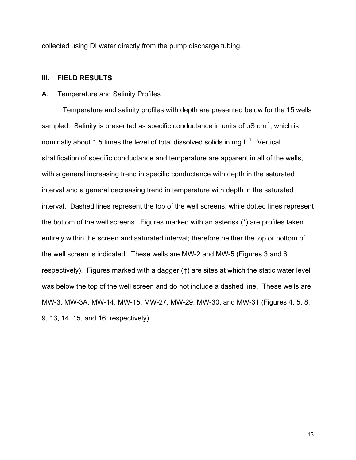collected using DI water directly from the pump discharge tubing.

# **III. FIELD RESULTS**

# A. Temperature and Salinity Profiles

Temperature and salinity profiles with depth are presented below for the 15 wells sampled. Salinity is presented as specific conductance in units of  $\mu$ S cm<sup>-1</sup>, which is nominally about 1.5 times the level of total dissolved solids in mg  $L^{-1}$ . Vertical stratification of specific conductance and temperature are apparent in all of the wells, with a general increasing trend in specific conductance with depth in the saturated interval and a general decreasing trend in temperature with depth in the saturated interval. Dashed lines represent the top of the well screens, while dotted lines represent the bottom of the well screens. Figures marked with an asterisk (\*) are profiles taken entirely within the screen and saturated interval; therefore neither the top or bottom of the well screen is indicated. These wells are MW-2 and MW-5 (Figures 3 and 6, respectively). Figures marked with a dagger (†) are sites at which the static water level was below the top of the well screen and do not include a dashed line. These wells are MW-3, MW-3A, MW-14, MW-15, MW-27, MW-29, MW-30, and MW-31 (Figures 4, 5, 8, 9, 13, 14, 15, and 16, respectively).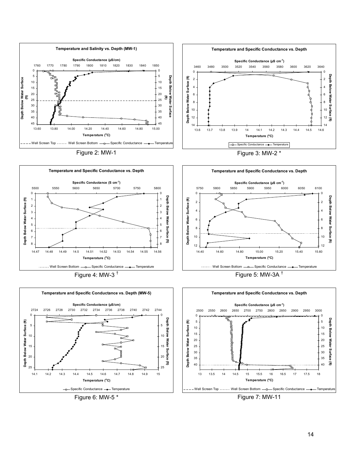





Figure 7: MW-11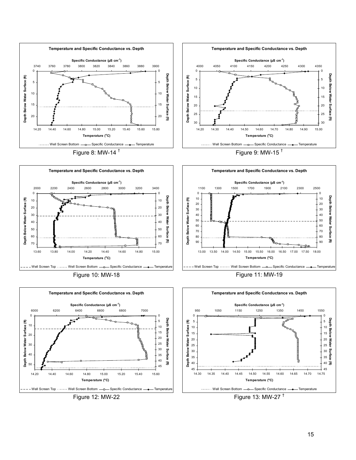

Figure 12: MW-22

Figure 13: MW-27 $<sup>†</sup>$ </sup>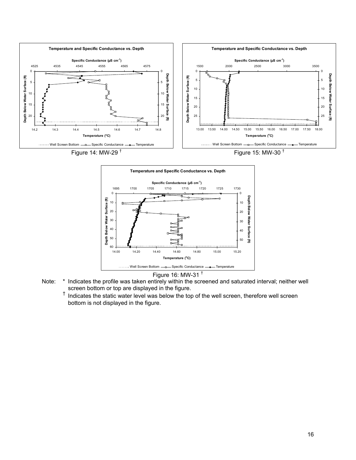



Figure 16: MW-31 †

- Note: \* Indicates the profile was taken entirely within the screened and saturated interval; neither well screen bottom or top are displayed in the figure.
	- † Indicates the static water level was below the top of the well screen, therefore well screen bottom is not displayed in the figure.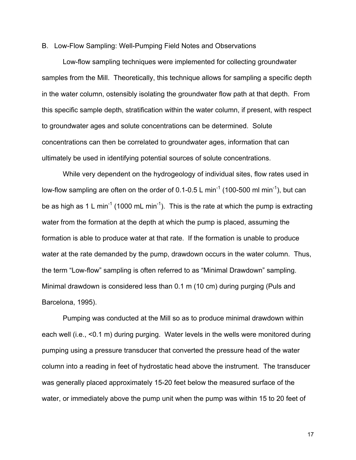#### B. Low-Flow Sampling: Well-Pumping Field Notes and Observations

Low-flow sampling techniques were implemented for collecting groundwater samples from the Mill. Theoretically, this technique allows for sampling a specific depth in the water column, ostensibly isolating the groundwater flow path at that depth. From this specific sample depth, stratification within the water column, if present, with respect to groundwater ages and solute concentrations can be determined. Solute concentrations can then be correlated to groundwater ages, information that can ultimately be used in identifying potential sources of solute concentrations.

While very dependent on the hydrogeology of individual sites, flow rates used in low-flow sampling are often on the order of 0.1-0.5 L min<sup>-1</sup> (100-500 ml min<sup>-1</sup>), but can be as high as 1 L min<sup>-1</sup> (1000 mL min<sup>-1</sup>). This is the rate at which the pump is extracting water from the formation at the depth at which the pump is placed, assuming the formation is able to produce water at that rate. If the formation is unable to produce water at the rate demanded by the pump, drawdown occurs in the water column. Thus, the term "Low-flow" sampling is often referred to as "Minimal Drawdown" sampling. Minimal drawdown is considered less than 0.1 m (10 cm) during purging (Puls and Barcelona, 1995).

Pumping was conducted at the Mill so as to produce minimal drawdown within each well (i.e., <0.1 m) during purging. Water levels in the wells were monitored during pumping using a pressure transducer that converted the pressure head of the water column into a reading in feet of hydrostatic head above the instrument. The transducer was generally placed approximately 15-20 feet below the measured surface of the water, or immediately above the pump unit when the pump was within 15 to 20 feet of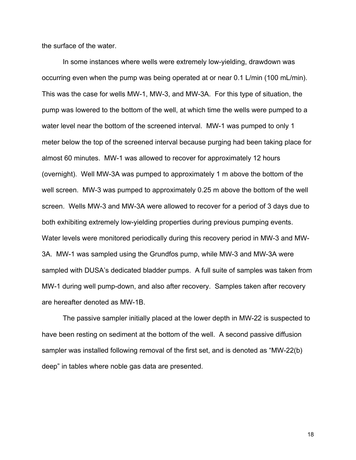the surface of the water.

In some instances where wells were extremely low-yielding, drawdown was occurring even when the pump was being operated at or near 0.1 L/min (100 mL/min). This was the case for wells MW-1, MW-3, and MW-3A. For this type of situation, the pump was lowered to the bottom of the well, at which time the wells were pumped to a water level near the bottom of the screened interval. MW-1 was pumped to only 1 meter below the top of the screened interval because purging had been taking place for almost 60 minutes. MW-1 was allowed to recover for approximately 12 hours (overnight). Well MW-3A was pumped to approximately 1 m above the bottom of the well screen. MW-3 was pumped to approximately 0.25 m above the bottom of the well screen. Wells MW-3 and MW-3A were allowed to recover for a period of 3 days due to both exhibiting extremely low-yielding properties during previous pumping events. Water levels were monitored periodically during this recovery period in MW-3 and MW-3A. MW-1 was sampled using the Grundfos pump, while MW-3 and MW-3A were sampled with DUSA's dedicated bladder pumps. A full suite of samples was taken from MW-1 during well pump-down, and also after recovery. Samples taken after recovery are hereafter denoted as MW-1B.

The passive sampler initially placed at the lower depth in MW-22 is suspected to have been resting on sediment at the bottom of the well. A second passive diffusion sampler was installed following removal of the first set, and is denoted as "MW-22(b) deep" in tables where noble gas data are presented.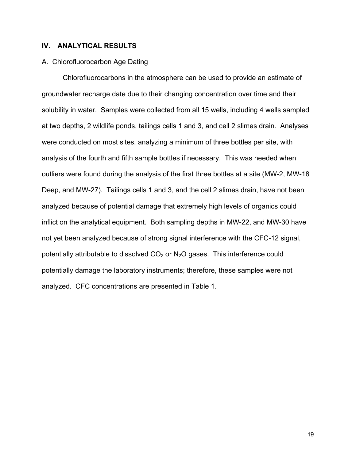# **IV. ANALYTICAL RESULTS**

# A. Chlorofluorocarbon Age Dating

Chlorofluorocarbons in the atmosphere can be used to provide an estimate of groundwater recharge date due to their changing concentration over time and their solubility in water. Samples were collected from all 15 wells, including 4 wells sampled at two depths, 2 wildlife ponds, tailings cells 1 and 3, and cell 2 slimes drain. Analyses were conducted on most sites, analyzing a minimum of three bottles per site, with analysis of the fourth and fifth sample bottles if necessary. This was needed when outliers were found during the analysis of the first three bottles at a site (MW-2, MW-18 Deep, and MW-27). Tailings cells 1 and 3, and the cell 2 slimes drain, have not been analyzed because of potential damage that extremely high levels of organics could inflict on the analytical equipment. Both sampling depths in MW-22, and MW-30 have not yet been analyzed because of strong signal interference with the CFC-12 signal, potentially attributable to dissolved  $CO<sub>2</sub>$  or N<sub>2</sub>O gases. This interference could potentially damage the laboratory instruments; therefore, these samples were not analyzed. CFC concentrations are presented in Table 1.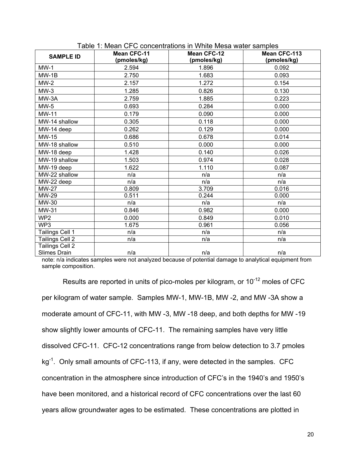| <b>SAMPLE ID</b> | <b>Mean CFC-11</b> | <b>Mean CFC-12</b> | Mean CFC-113 |
|------------------|--------------------|--------------------|--------------|
|                  | (pmoles/kg)        | (pmoles/kg)        | (pmoles/kg)  |
| $MW-1$           | 2.594              | 1.896              | 0.092        |
| $MW-1B$          | 2.750              | 1.683              | 0.093        |
| $MW-2$           | 2.157              | 1.272              | 0.154        |
| $MW-3$           | 1.285              | 0.826              | 0.130        |
| MW-3A            | 2.759              | 1.885              | 0.223        |
| $MW-5$           | 0.693              | 0.284              | 0.000        |
| <b>MW-11</b>     | 0.179              | 0.090              | 0.000        |
| MW-14 shallow    | 0.305              | 0.118              | 0.000        |
| MW-14 deep       | 0.262              | 0.129              | 0.000        |
| MW-15            | 0.686              | 0.678              | 0.014        |
| MW-18 shallow    | 0.510              | 0.000              | 0.000        |
| MW-18 deep       | 1.428              | 0.140              | 0.026        |
| MW-19 shallow    | 1.503              | 0.974              | 0.028        |
| MW-19 deep       | 1.622              | 1.110              | 0.087        |
| MW-22 shallow    | n/a                | n/a                | n/a          |
| MW-22 deep       | n/a                | n/a                | n/a          |
| <b>MW-27</b>     | 0.809              | 3.709              | 0.016        |
| MW-29            | 0.511              | 0.244              | 0.000        |
| MW-30            | n/a                | n/a                | n/a          |
| MW-31            | 0.846              | 0.982              | 0.000        |
| WP <sub>2</sub>  | 0.000              | 0.849              | 0.010        |
| WP3              | 1.675              | 0.961              | 0.056        |
| Tailings Cell 1  | n/a                | n/a                | n/a          |
| Tailings Cell 2  | n/a                | n/a                | n/a          |
| Tailings Cell 2  |                    |                    |              |
| Slimes Drain     | n/a                | n/a                | n/a          |

note: n/a indicates samples were not analyzed because of potential damage to analytical equipment from sample composition.

Results are reported in units of pico-moles per kilogram, or 10<sup>-12</sup> moles of CFC per kilogram of water sample. Samples MW-1, MW-1B, MW -2, and MW -3A show a moderate amount of CFC-11, with MW -3, MW -18 deep, and both depths for MW -19 show slightly lower amounts of CFC-11. The remaining samples have very little dissolved CFC-11. CFC-12 concentrations range from below detection to 3.7 pmoles kg<sup>-1</sup>. Only small amounts of CFC-113, if any, were detected in the samples. CFC concentration in the atmosphere since introduction of CFC's in the 1940's and 1950's have been monitored, and a historical record of CFC concentrations over the last 60 years allow groundwater ages to be estimated. These concentrations are plotted in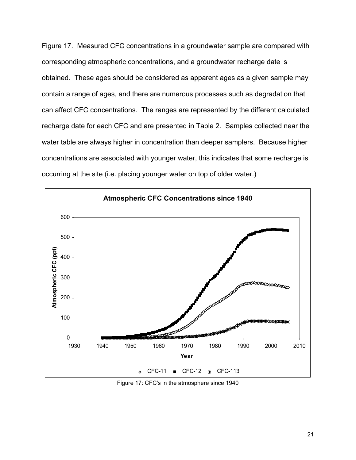Figure 17. Measured CFC concentrations in a groundwater sample are compared with corresponding atmospheric concentrations, and a groundwater recharge date is obtained. These ages should be considered as apparent ages as a given sample may contain a range of ages, and there are numerous processes such as degradation that can affect CFC concentrations. The ranges are represented by the different calculated recharge date for each CFC and are presented in Table 2. Samples collected near the water table are always higher in concentration than deeper samplers. Because higher concentrations are associated with younger water, this indicates that some recharge is occurring at the site (i.e. placing younger water on top of older water.)



Figure 17: CFC's in the atmosphere since 1940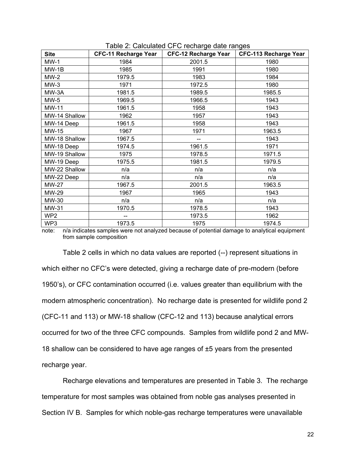| <b>Site</b>     | <b>CFC-11 Recharge Year</b> | <b>CFC-12 Recharge Year</b> | <b>CFC-113 Recharge Year</b> |
|-----------------|-----------------------------|-----------------------------|------------------------------|
| $MW-1$          | 1984                        | 2001.5                      | 1980                         |
| $MW-1B$         | 1985                        | 1991                        | 1980                         |
| $MW-2$          | 1979.5                      | 1983                        | 1984                         |
| $MW-3$          | 1971                        | 1972.5                      | 1980                         |
| MW-3A           | 1981.5                      | 1989.5                      | 1985.5                       |
| $MW-5$          | 1969.5                      | 1966.5                      | 1943                         |
| <b>MW-11</b>    | 1961.5                      | 1958                        | 1943                         |
| MW-14 Shallow   | 1962                        | 1957                        | 1943                         |
| MW-14 Deep      | 1961.5                      | 1958                        | 1943                         |
| MW-15           | 1967                        | 1971                        | 1963.5                       |
| MW-18 Shallow   | 1967.5                      |                             | 1943                         |
| MW-18 Deep      | 1974.5                      | 1961.5                      | 1971                         |
| MW-19 Shallow   | 1975                        | 1978.5                      | 1971.5                       |
| MW-19 Deep      | 1975.5                      | 1981.5                      | 1979.5                       |
| MW-22 Shallow   | n/a                         | n/a                         | n/a                          |
| MW-22 Deep      | n/a                         | n/a                         | n/a                          |
| <b>MW-27</b>    | 1967.5                      | 2001.5                      | 1963.5                       |
| MW-29           | 1967                        | 1965                        | 1943                         |
| MW-30           | n/a                         | n/a                         | n/a                          |
| MW-31           | 1970.5                      | 1978.5                      | 1943                         |
| WP <sub>2</sub> |                             | 1973.5                      | 1962                         |
| WP3             | 1973.5                      | 1975                        | 1974.5                       |

| Table 2: Calculated CFC recharge date ranges |  |  |
|----------------------------------------------|--|--|
|                                              |  |  |

note: n/a indicates samples were not analyzed because of potential damage to analytical equipment from sample composition

Table 2 cells in which no data values are reported (--) represent situations in which either no CFC's were detected, giving a recharge date of pre-modern (before 1950's), or CFC contamination occurred (i.e. values greater than equilibrium with the modern atmospheric concentration). No recharge date is presented for wildlife pond 2 (CFC-11 and 113) or MW-18 shallow (CFC-12 and 113) because analytical errors occurred for two of the three CFC compounds. Samples from wildlife pond 2 and MW-18 shallow can be considered to have age ranges of ±5 years from the presented recharge year.

Recharge elevations and temperatures are presented in Table 3. The recharge temperature for most samples was obtained from noble gas analyses presented in Section IV B. Samples for which noble-gas recharge temperatures were unavailable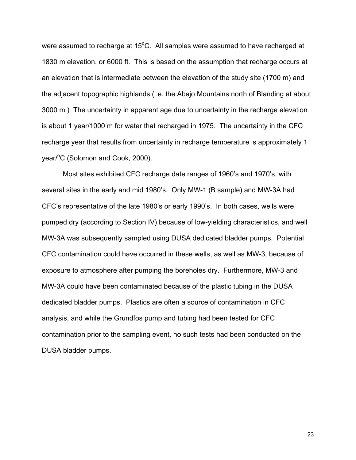were assumed to recharge at 15 $^{\circ}$ C. All samples were assumed to have recharged at 1830 m elevation, or 6000 ft. This is based on the assumption that recharge occurs at an elevation that is intermediate between the elevation of the study site (1700 m) and the adjacent topographic highlands (i.e. the Abajo Mountains north of Blanding at about 3000 m.) The uncertainty in apparent age due to uncertainty in the recharge elevation is about 1 year/1000 m for water that recharged in 1975. The uncertainty in the CFC recharge year that results from uncertainty in recharge temperature is approximately 1 year/<sup>o</sup>C (Solomon and Cook, 2000).

Most sites exhibited CFC recharge date ranges of 1960's and 1970's, with several sites in the early and mid 1980's. Only MW-1 (B sample) and MW-3A had CFC's representative of the late 1980's or early 1990's. In both cases, wells were pumped dry (according to Section IV) because of low-yielding characteristics, and well MW-3A was subsequently sampled using DUSA dedicated bladder pumps. Potential CFC contamination could have occurred in these wells, as well as MW-3, because of exposure to atmosphere after pumping the boreholes dry. Furthermore, MW-3 and MW-3A could have been contaminated because of the plastic tubing in the DUSA dedicated bladder pumps. Plastics are often a source of contamination in CFC analysis, and while the Grundfos pump and tubing had been tested for CFC contamination prior to the sampling event, no such tests had been conducted on the DUSA bladder pumps.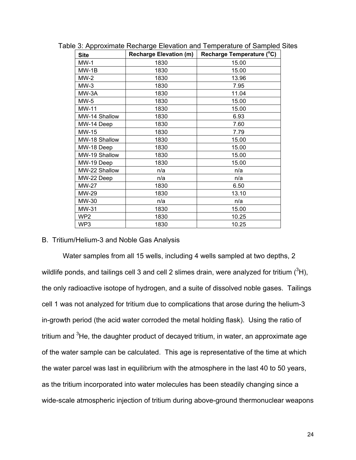| <b>Site</b>     | <b>Recharge Elevation (m)</b> | Recharge Temperature (°C) |
|-----------------|-------------------------------|---------------------------|
| <b>MW-1</b>     | 1830                          | 15.00                     |
| $MW-1B$         | 1830                          | 15.00                     |
| MW-2            | 1830                          | 13.96                     |
| $MW-3$          | 1830                          | 7.95                      |
| MW-3A           | 1830                          | 11.04                     |
| MW-5            | 1830                          | 15.00                     |
| MW-11           | 1830                          | 15.00                     |
| MW-14 Shallow   | 1830                          | 6.93                      |
| MW-14 Deep      | 1830                          | 7.60                      |
| MW-15           | 1830                          | 7.79                      |
| MW-18 Shallow   | 1830                          | 15.00                     |
| MW-18 Deep      | 1830                          | 15.00                     |
| MW-19 Shallow   | 1830                          | 15.00                     |
| MW-19 Deep      | 1830                          | 15.00                     |
| MW-22 Shallow   | n/a                           | n/a                       |
| MW-22 Deep      | n/a                           | n/a                       |
| <b>MW-27</b>    | 1830                          | 6.50                      |
| MW-29           | 1830                          | 13.10                     |
| MW-30           | n/a                           | n/a                       |
| MW-31           | 1830                          | 15.00                     |
| WP <sub>2</sub> | 1830                          | 10.25                     |
| WP3             | 1830                          | 10.25                     |

Table 3: Approximate Recharge Elevation and Temperature of Sampled Sites

# B. Tritium/Helium-3 and Noble Gas Analysis

Water samples from all 15 wells, including 4 wells sampled at two depths, 2 wildlife ponds, and tailings cell 3 and cell 2 slimes drain, were analyzed for tritium  $(^3H)$ , the only radioactive isotope of hydrogen, and a suite of dissolved noble gases. Tailings cell 1 was not analyzed for tritium due to complications that arose during the helium-3 in-growth period (the acid water corroded the metal holding flask). Using the ratio of tritium and <sup>3</sup>He, the daughter product of decayed tritium, in water, an approximate age of the water sample can be calculated. This age is representative of the time at which the water parcel was last in equilibrium with the atmosphere in the last 40 to 50 years, as the tritium incorporated into water molecules has been steadily changing since a wide-scale atmospheric injection of tritium during above-ground thermonuclear weapons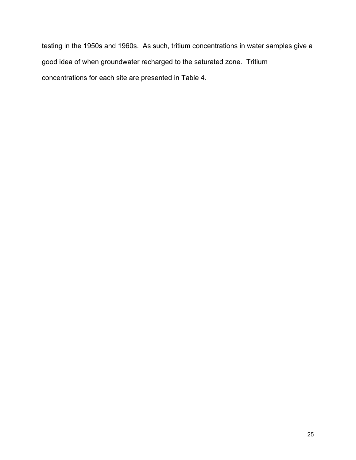testing in the 1950s and 1960s. As such, tritium concentrations in water samples give a good idea of when groundwater recharged to the saturated zone. Tritium concentrations for each site are presented in Table 4.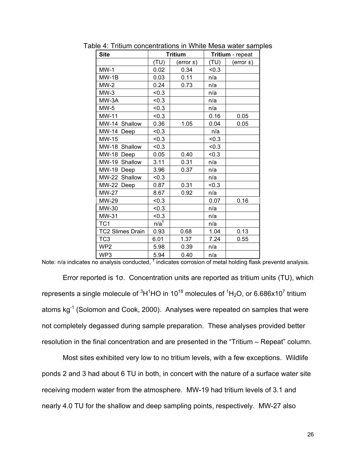| <b>Site</b>             |                 | <b>Tritium</b> | Tritium - repeat |               |
|-------------------------|-----------------|----------------|------------------|---------------|
|                         | (TU)            | $(error \pm)$  | (TU)             | $(error \pm)$ |
| $MW-1$                  | 0.02            | 0.34           | < 0.3            |               |
| $MW-1B$                 | 0.03            | 0.11           | n/a              |               |
| $MW-2$                  | 0.24            | 0.73           | n/a              |               |
| $MW-3$                  | < 0.3           |                | n/a              |               |
| MW-3A                   | < 0.3           |                | n/a              |               |
| $MW-5$                  | < 0.3           |                | n/a              |               |
| <b>MW-11</b>            | < 0.3           |                | 0.16             | 0.05          |
| MW-14 Shallow           | 0.36            | 1.05           | 0.04             | 0.05          |
| MW-14 Deep              | < 0.3           |                | n/a              |               |
| MW-15                   | < 0.3           |                | < 0.3            |               |
| MW-18 Shallow           | < 0.3           |                | < 0.3            |               |
| MW-18 Deep              | 0.05            | 0.40           | < 0.3            |               |
| MW-19<br>Shallow        | 3.11            | 0.31           | n/a              |               |
| MW-19 Deep              | 3.96            | 0.37           | n/a              |               |
| MW-22 Shallow           | < 0.3           |                | n/a              |               |
| MW-22 Deep              | 0.87            | 0.31           | < 0.3            |               |
| <b>MW-27</b>            | 8.67            | 0.92           | n/a              |               |
| MW-29                   | < 0.3           |                | 0.07             | 0.16          |
| MW-30                   | < 0.3           |                | n/a              |               |
| MW-31                   | < 0.3           |                | n/a              |               |
| TC <sub>1</sub>         | $n/a^{\dagger}$ |                | n/a              |               |
| <b>TC2 Slimes Drain</b> | 0.93            | 0.68           | 1.04             | 0.13          |
| TC <sub>3</sub>         | 6.01            | 1.37           | 7.24             | 0.55          |
| WP <sub>2</sub>         | 5.98            | 0.39           | n/a              |               |
| WP <sub>3</sub>         | 5.94            | 0.40           | n/a              |               |

Table 4: Tritium concentrations in White Mesa water samples

Note: n/a indicates no analysis conducted,  $^{\dagger}$  indicates corrosion of metal holding flask preventd analysis.

Error reported is 1σ. Concentration units are reported as tritium units (TU), which represents a single molecule of  ${}^{3}H^{1}HO$  in 10<sup>18</sup> molecules of  ${}^{1}H_{2}O$ , or 6.686x10<sup>7</sup> tritium atoms kg<sup>-1</sup> (Solomon and Cook, 2000). Analyses were repeated on samples that were not completely degassed during sample preparation. These analyses provided better resolution in the final concentration and are presented in the "Tritium – Repeat" column.

Most sites exhibited very low to no tritium levels, with a few exceptions. Wildlife ponds 2 and 3 had about 6 TU in both, in concert with the nature of a surface water site receiving modern water from the atmosphere. MW-19 had tritium levels of 3.1 and nearly 4.0 TU for the shallow and deep sampling points, respectively. MW-27 also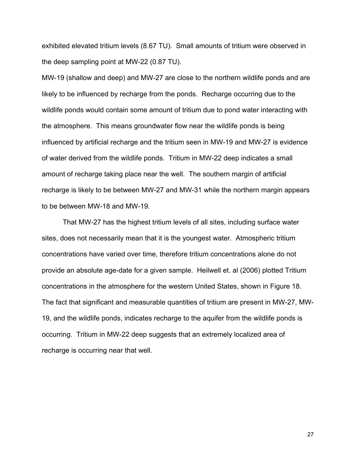exhibited elevated tritium levels (8.67 TU). Small amounts of tritium were observed in the deep sampling point at MW-22 (0.87 TU).

MW-19 (shallow and deep) and MW-27 are close to the northern wildlife ponds and are likely to be influenced by recharge from the ponds. Recharge occurring due to the wildlife ponds would contain some amount of tritium due to pond water interacting with the atmosphere. This means groundwater flow near the wildlife ponds is being influenced by artificial recharge and the tritium seen in MW-19 and MW-27 is evidence of water derived from the wildlife ponds. Tritium in MW-22 deep indicates a small amount of recharge taking place near the well. The southern margin of artificial recharge is likely to be between MW-27 and MW-31 while the northern margin appears to be between MW-18 and MW-19.

That MW-27 has the highest tritium levels of all sites, including surface water sites, does not necessarily mean that it is the youngest water. Atmospheric tritium concentrations have varied over time, therefore tritium concentrations alone do not provide an absolute age-date for a given sample. Heilwell et. al (2006) plotted Tritium concentrations in the atmosphere for the western United States, shown in Figure 18. The fact that significant and measurable quantities of tritium are present in MW-27, MW-19, and the wildlife ponds, indicates recharge to the aquifer from the wildlife ponds is occurring. Tritium in MW-22 deep suggests that an extremely localized area of recharge is occurring near that well.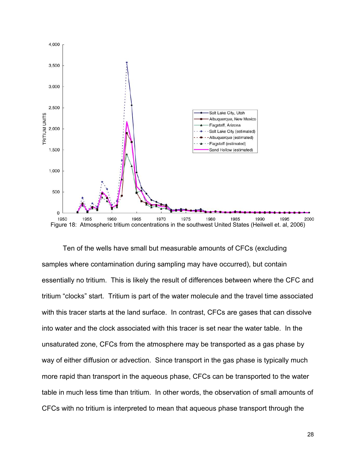

Ten of the wells have small but measurable amounts of CFCs (excluding samples where contamination during sampling may have occurred), but contain essentially no tritium. This is likely the result of differences between where the CFC and tritium "clocks" start. Tritium is part of the water molecule and the travel time associated with this tracer starts at the land surface. In contrast, CFCs are gases that can dissolve into water and the clock associated with this tracer is set near the water table. In the unsaturated zone, CFCs from the atmosphere may be transported as a gas phase by way of either diffusion or advection. Since transport in the gas phase is typically much more rapid than transport in the aqueous phase, CFCs can be transported to the water table in much less time than tritium. In other words, the observation of small amounts of CFCs with no tritium is interpreted to mean that aqueous phase transport through the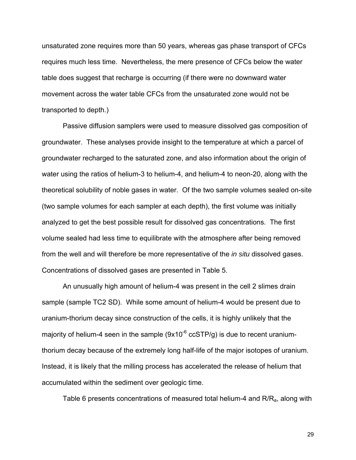unsaturated zone requires more than 50 years, whereas gas phase transport of CFCs requires much less time. Nevertheless, the mere presence of CFCs below the water table does suggest that recharge is occurring (if there were no downward water movement across the water table CFCs from the unsaturated zone would not be transported to depth.)

Passive diffusion samplers were used to measure dissolved gas composition of groundwater. These analyses provide insight to the temperature at which a parcel of groundwater recharged to the saturated zone, and also information about the origin of water using the ratios of helium-3 to helium-4, and helium-4 to neon-20, along with the theoretical solubility of noble gases in water. Of the two sample volumes sealed on-site (two sample volumes for each sampler at each depth), the first volume was initially analyzed to get the best possible result for dissolved gas concentrations. The first volume sealed had less time to equilibrate with the atmosphere after being removed from the well and will therefore be more representative of the *in situ* dissolved gases. Concentrations of dissolved gases are presented in Table 5.

An unusually high amount of helium-4 was present in the cell 2 slimes drain sample (sample TC2 SD). While some amount of helium-4 would be present due to uranium-thorium decay since construction of the cells, it is highly unlikely that the majority of helium-4 seen in the sample  $(9x10^{-6} \text{ ccSTP/g})$  is due to recent uraniumthorium decay because of the extremely long half-life of the major isotopes of uranium. Instead, it is likely that the milling process has accelerated the release of helium that accumulated within the sediment over geologic time.

Table 6 presents concentrations of measured total helium-4 and  $R/R<sub>a</sub>$ , along with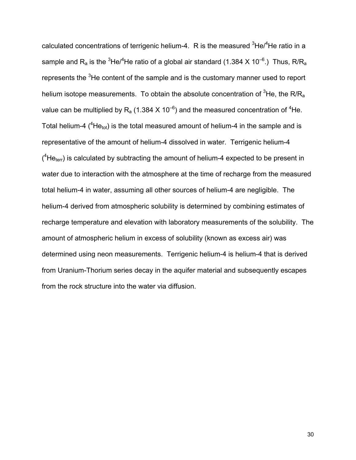calculated concentrations of terrigenic helium-4.  $R$  is the measured  $3$ He/ $4$ He ratio in a sample and R<sub>a</sub> is the <sup>3</sup>He/<sup>4</sup>He ratio of a global air standard (1.384 X 10<sup>-6</sup>.) Thus, R/R<sub>a</sub> represents the <sup>3</sup>He content of the sample and is the customary manner used to report helium isotope measurements. To obtain the absolute concentration of  ${}^{3}$ He, the R/R<sub>a</sub> value can be multiplied by R<sub>a</sub> (1.384 X 10<sup>-6</sup>) and the measured concentration of <sup>4</sup>He. Total helium-4 ( ${}^{4}$ He<sub>tot</sub>) is the total measured amount of helium-4 in the sample and is representative of the amount of helium-4 dissolved in water. Terrigenic helium-4  $(^{4}$ He<sub>terr</sub>) is calculated by subtracting the amount of helium-4 expected to be present in water due to interaction with the atmosphere at the time of recharge from the measured total helium-4 in water, assuming all other sources of helium-4 are negligible. The helium-4 derived from atmospheric solubility is determined by combining estimates of recharge temperature and elevation with laboratory measurements of the solubility. The amount of atmospheric helium in excess of solubility (known as excess air) was determined using neon measurements. Terrigenic helium-4 is helium-4 that is derived from Uranium-Thorium series decay in the aquifer material and subsequently escapes from the rock structure into the water via diffusion.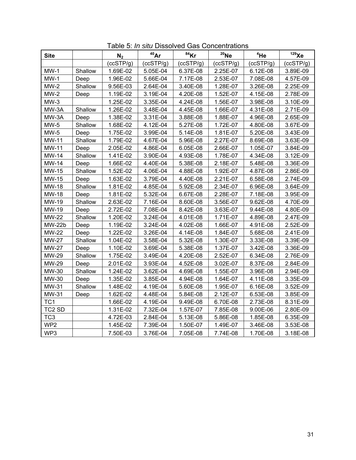| <b>Site</b>        |         | N <sub>2</sub> | $40$ Ar   | $84$ Kr      | $20$ Ne   | 4He       | $129$ Xe  |
|--------------------|---------|----------------|-----------|--------------|-----------|-----------|-----------|
|                    |         | (ccSTP/g)      | (ccSTP/g) | (ccSTP/g)    | (ccSTP/g) | (ccSTP/g) | (ccSTP/g) |
| $MW-1$             | Shallow | 1.69E-02       | 5.05E-04  | 6.37E-08     | 2.25E-07  | 6.12E-08  | 3.89E-09  |
| $MW-1$             | Deep    | 1.96E-02       | 5.66E-04  | 7.17E-08     | 2.53E-07  | 7.08E-08  | 4.57E-09  |
| $MW-2$             | Shallow | 9.56E-03       | 2.64E-04  | 3.40E-08     | 1.28E-07  | 3.26E-08  | 2.25E-09  |
| $MW-2$             | Deep    | 1.19E-02       | 3.19E-04  | 4.20E-08     | 1.52E-07  | 4.15E-08  | 2.78E-09  |
| $MW-3$             |         | 1.25E-02       | 3.35E-04  | 4.24E-08     | 1.56E-07  | 3.98E-08  | 3.10E-09  |
| MW-3A              | Shallow | 1.26E-02       | 3.48E-04  | 4.45E-08     | 1.66E-07  | 4.31E-08  | 2.71E-09  |
| MW-3A              | Deep    | 1.38E-02       | 3.31E-04  | 3.88E-08     | 1.88E-07  | 4.96E-08  | 2.65E-09  |
| $MW-5$             | Shallow | 1.68E-02       | 4.12E-04  | 5.27E-08     | 1.72E-07  | 4.80E-08  | 3.67E-09  |
| $MW-5$             | Deep    | 1.75E-02       | 3.99E-04  | $5.14E - 08$ | 1.81E-07  | 5.20E-08  | 3.43E-09  |
| <b>MW-11</b>       | Shallow | 1.79E-02       | 4.67E-04  | 5.96E-08     | 2.27E-07  | 8.69E-08  | 3.63E-09  |
| MW-11              | Deep    | 2.05E-02       | 4.86E-04  | 6.05E-08     | 2.66E-07  | 1.05E-07  | 3.84E-09  |
| <b>MW-14</b>       | Shallow | 1.41E-02       | 3.90E-04  | 4.93E-08     | 1.78E-07  | 4.34E-08  | 3.12E-09  |
| <b>MW-14</b>       | Deep    | 1.66E-02       | 4.40E-04  | 5.38E-08     | 2.18E-07  | 5.48E-08  | 3.36E-09  |
| MW-15              | Shallow | 1.52E-02       | 4.06E-04  | 4.88E-08     | 1.92E-07  | 4.87E-08  | 2.86E-09  |
| MW-15              | Deep    | 1.63E-02       | 3.79E-04  | 4.40E-08     | 2.21E-07  | 6.58E-08  | 2.74E-09  |
| <b>MW-18</b>       | Shallow | 1.81E-02       | 4.85E-04  | 5.92E-08     | 2.34E-07  | 6.96E-08  | 3.64E-09  |
| <b>MW-18</b>       | Deep    | 1.81E-02       | 5.32E-04  | 6.67E-08     | 2.28E-07  | 7.18E-08  | 3.95E-09  |
| MW-19              | Shallow | 2.63E-02       | 7.16E-04  | 8.60E-08     | 3.56E-07  | 9.62E-08  | 4.70E-09  |
| MW-19              | Deep    | 2.72E-02       | 7.08E-04  | 8.42E-08     | 3.63E-07  | 9.44E-08  | 4.80E-09  |
| <b>MW-22</b>       | Shallow | 1.20E-02       | 3.24E-04  | 4.01E-08     | 1.71E-07  | 4.89E-08  | 2.47E-09  |
| <b>MW-22b</b>      | Deep    | 1.19E-02       | 3.24E-04  | 4.02E-08     | 1.66E-07  | 4.91E-08  | 2.52E-09  |
| <b>MW-22</b>       | Deep    | 1.22E-02       | 3.26E-04  | 4.14E-08     | 1.84E-07  | 5.68E-08  | 2.41E-09  |
| <b>MW-27</b>       | Shallow | 1.04E-02       | 3.58E-04  | 5.32E-08     | 1.30E-07  | 3.33E-08  | 3.39E-09  |
| <b>MW-27</b>       | Deep    | 1.10E-02       | 3.69E-04  | 5.38E-08     | 1.37E-07  | 3.42E-08  | 3.36E-09  |
| <b>MW-29</b>       | Shallow | 1.75E-02       | 3.49E-04  | 4.20E-08     | 2.52E-07  | 6.34E-08  | 2.76E-09  |
| <b>MW-29</b>       | Deep    | 2.01E-02       | 3.93E-04  | 4.52E-08     | 3.02E-07  | 8.37E-08  | 2.84E-09  |
| MW-30              | Shallow | 1.24E-02       | 3.62E-04  | 4.69E-08     | 1.55E-07  | 3.96E-08  | 2.94E-09  |
| MW-30              | Deep    | 1.35E-02       | 3.85E-04  | 4.94E-08     | 1.64E-07  | 4.11E-08  | 3.35E-09  |
| MW-31              | Shallow | 1.48E-02       | 4.19E-04  | 5.60E-08     | 1.95E-07  | 6.16E-08  | 3.52E-09  |
| MW-31              | Deep    | 1.62E-02       | 4.48E-04  | 5.84E-08     | 2.12E-07  | 6.53E-08  | 3.85E-09  |
| TC <sub>1</sub>    |         | 1.66E-02       | 4.19E-04  | 9.49E-08     | 6.70E-08  | 2.73E-08  | 8.31E-09  |
| TC <sub>2</sub> SD |         | 1.31E-02       | 7.32E-04  | 1.57E-07     | 7.85E-08  | 9.00E-06  | 2.80E-09  |
| TC <sub>3</sub>    |         | 4.72E-03       | 2.84E-04  | 5.13E-08     | 5.86E-08  | 1.85E-08  | 6.35E-09  |
| WP <sub>2</sub>    |         | 1.45E-02       | 7.39E-04  | 1.50E-07     | 1.49E-07  | 3.46E-08  | 3.53E-08  |
| WP3                |         | 7.50E-03       | 3.76E-04  | 7.05E-08     | 7.74E-08  | 1.70E-08  | 3.18E-08  |

Table 5: *In situ* Dissolved Gas Concentrations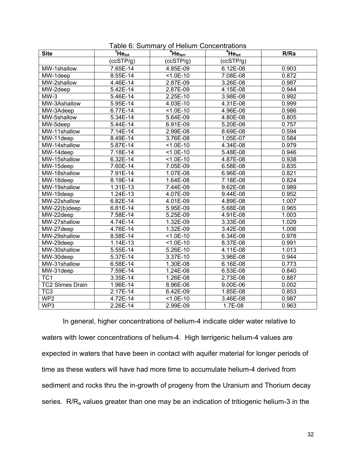| <b>Site</b>                    | $\overline{{}^3He}_{tot}$ | $4He_{\text{terr}}$ | $4H_{\text{etot}}$ | R/Ra  |
|--------------------------------|---------------------------|---------------------|--------------------|-------|
|                                | (ccSTP/g)                 | (ccSTP/g)           | (ccSTP/g)          |       |
| MW-1shallow                    | 7.65E-14                  | 4.85E-09            | $6.12E-08$         | 0.903 |
| MW-1deep                       | 8.55E-14                  | $1.0E-10$           | 7.08E-08           | 0.872 |
| MW-2shallow                    | 4.46E-14                  | 2.87E-09            | 3.26E-08           | 0.987 |
| $\overline{M}W-2$ deep         | $5.\overline{42E-14}$     | 2.87E-09            | 4.15E-08           | 0.944 |
| $MW-3$                         | 5.46E-14                  | 2.25E-10            | 3.98E-08           | 0.992 |
| MW-3Ashallow                   | 5.95E-14                  | 4.03E-10            | 4.31E-08           | 0.999 |
| MW-3Adeep                      | $6.77E-14$                | $< 1.0E - 10$       | 4.96E-08           | 0.986 |
| MW-5shallow                    | $5.\overline{34E-14}$     | $5.64E-09$          | 4.80E-08           | 0.805 |
| $\overline{\text{MW}}$ -5deep  | $5.44E-14$                | 6.91E-09            | 5.20E-08           | 0.757 |
| MW-11shallow                   | $7.\overline{14E-14}$     | 2.99E-08            | 8.69E-08           | 0.594 |
| MW-11deep                      | $8.49E - 14$              | 3.76E-08            | 1.05E-07           | 0.584 |
| MW-14shallow                   | $5.87E-14$                | $< 1.0E - 10$       | 4.34E-08           | 0.979 |
| MW-14deep                      | $7.\overline{18E-14}$     | $< 1.0E - 10$       | 5.48E-08           | 0.946 |
| MW-15shallow                   | $6.\overline{32E-14}$     | $< 1.0E - 10$       | 4.87E-08           | 0.938 |
| $\overline{\text{MW}}$ -15deep | $7.\overline{60E-14}$     | 7.05E-09            | 6.58E-08           | 0.835 |
| MW-18shallow                   | $7.91E-14$                | 1.07E-08            | 6.96E-08           | 0.821 |
| MW-18deep                      | $8.19E - 14$              | 1.64E-08            | 7.18E-08           | 0.824 |
| MW-19shallow                   | $1.31E-13$                | 7.44E-09            | $9.62E - 08$       | 0.989 |
| MW-19deep                      | $1.24E-13$                | 4.07E-09            | $9.44E-08$         | 0.952 |
| MW-22shallow                   | $6.82E-14$                | 4.01E-09            | 4.89E-08           | 1.007 |
| MW-22(b)deep                   | $6.81E-14$                | 5.95E-09            | 5.68E-08           | 0.965 |
| $\overline{\text{MW-2}}$ 2deep | 7.58E-14                  | 5.25E-09            | 4.91E-08           | 1.003 |
| MW-27shallow                   | 4.74E-14                  | 1.32E-09            | 3.33E-08           | 1.029 |
| MW-27deep                      | 4.76E-14                  | 1.32E-09            | 3.42E-08           | 1.006 |
| MW-29shallow                   | 8.58E-14                  | $1.0E-10$           | $6.34E-08$         | 0.978 |
| $\overline{\text{MW-2}}$ 9deep | $1.14E-13$                | $51.0E - 10$        | 8.37E-08           | 0.991 |
| MW-30shallow                   | $5.55E-14$                | $5.26E-10$          | $4.11E-08$         | 1.013 |
| MW-30deep                      | 5.37E-14                  | 3.37E-10            | 3.96E-08           | 0.944 |
| MW-31shallow                   | 6.58E-14                  | 1.30E-08            | $6.16E-08$         | 0.773 |
| MW-31deep                      | 7.59E-14                  | $1.24E-08$          | $6.53E-08$         | 0.840 |
| TC <sub>1</sub>                | 3.35E-14                  | 1.26E-08            | $2.73E-08$         | 0.887 |
| <b>TC2 Slimes Drain</b>        | 1.96E-14                  | 8.96E-06            | $9.00E - 06$       | 0.002 |
| TC3                            | $2.17E-14$                | 6.42E-09            | 1.85E-08           | 0.853 |
| WP <sub>2</sub>                | 4.72E-14                  | $1.0E-10$           | 3.46E-08           | 0.987 |
| WP3                            | 2.26E-14                  | 2.99E-09            | $1.7E-08$          | 0.963 |

Table 6: Summary of Helium Concentrations

 In general, higher concentrations of helium-4 indicate older water relative to waters with lower concentrations of helium-4. High terrigenic helium-4 values are expected in waters that have been in contact with aquifer material for longer periods of time as these waters will have had more time to accumulate helium-4 derived from sediment and rocks thru the in-growth of progeny from the Uranium and Thorium decay series. R/R<sub>a</sub> values greater than one may be an indication of tritiogenic helium-3 in the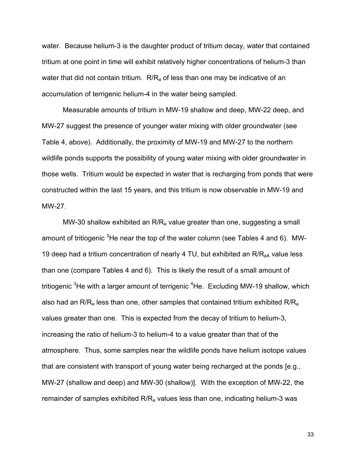water. Because helium-3 is the daughter product of tritium decay, water that contained tritium at one point in time will exhibit relatively higher concentrations of helium-3 than water that did not contain tritium.  $R/R<sub>a</sub>$  of less than one may be indicative of an accumulation of terrigenic helium-4 in the water being sampled.

 Measurable amounts of tritium in MW-19 shallow and deep, MW-22 deep, and MW-27 suggest the presence of younger water mixing with older groundwater (see Table 4, above). Additionally, the proximity of MW-19 and MW-27 to the northern wildlife ponds supports the possibility of young water mixing with older groundwater in those wells. Tritium would be expected in water that is recharging from ponds that were constructed within the last 15 years, and this tritium is now observable in MW-19 and MW-27.

MW-30 shallow exhibited an  $R/R<sub>a</sub>$  value greater than one, suggesting a small amount of tritiogenic <sup>3</sup>He near the top of the water column (see Tables 4 and 6). MW-19 deep had a tritium concentration of nearly 4 TU, but exhibited an  $R/R<sub>aA</sub>$  value less than one (compare Tables 4 and 6). This is likely the result of a small amount of tritiogenic <sup>3</sup>He with a larger amount of terrigenic <sup>4</sup>He. Excluding MW-19 shallow, which also had an  $R/R<sub>a</sub>$  less than one, other samples that contained tritium exhibited  $R/R<sub>a</sub>$ values greater than one. This is expected from the decay of tritium to helium-3, increasing the ratio of helium-3 to helium-4 to a value greater than that of the atmosphere. Thus, some samples near the wildlife ponds have helium isotope values that are consistent with transport of young water being recharged at the ponds [e.g., MW-27 (shallow and deep) and MW-30 (shallow)]. With the exception of MW-22, the remainder of samples exhibited  $R/R<sub>a</sub>$  values less than one, indicating helium-3 was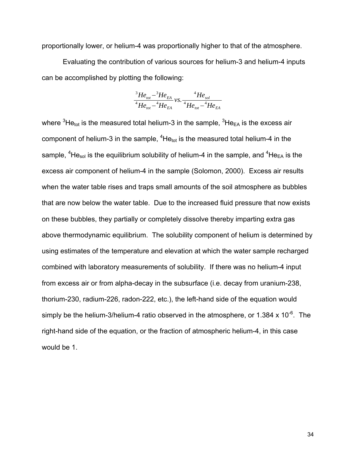proportionally lower, or helium-4 was proportionally higher to that of the atmosphere.

 Evaluating the contribution of various sources for helium-3 and helium-4 inputs can be accomplished by plotting the following:

$$
\frac{{}^{3}He_{\text{tot}}-{}^{3}He_{\text{EA}}}{{}^{4}He_{\text{tot}}-{}^{4}He_{\text{EA}}}\nu s.\frac{{}^{4}He_{\text{sol}}}{{}^{4}He_{\text{tot}}-{}^{4}He_{\text{EA}}}
$$

where  ${}^{3}$ He<sub>tot</sub> is the measured total helium-3 in the sample,  ${}^{3}$ He<sub>EA</sub> is the excess air component of helium-3 in the sample,  ${}^{4}$ He<sub>tot</sub> is the measured total helium-4 in the sample, <sup>4</sup>He<sub>sol</sub> is the equilibrium solubility of helium-4 in the sample, and <sup>4</sup>He<sub>EA</sub> is the excess air component of helium-4 in the sample (Solomon, 2000). Excess air results when the water table rises and traps small amounts of the soil atmosphere as bubbles that are now below the water table. Due to the increased fluid pressure that now exists on these bubbles, they partially or completely dissolve thereby imparting extra gas above thermodynamic equilibrium. The solubility component of helium is determined by using estimates of the temperature and elevation at which the water sample recharged combined with laboratory measurements of solubility. If there was no helium-4 input from excess air or from alpha-decay in the subsurface (i.e. decay from uranium-238, thorium-230, radium-226, radon-222, etc.), the left-hand side of the equation would simply be the helium-3/helium-4 ratio observed in the atmosphere, or 1.384 x 10 $^6$ . The right-hand side of the equation, or the fraction of atmospheric helium-4, in this case would be 1.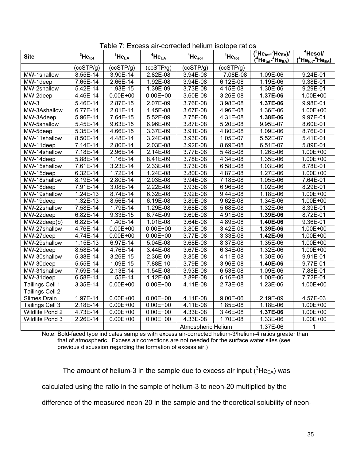| <b>Site</b>                    | ${}^{3}$ He $_{\rm tot}$ | ${}^3$ He $_{EA}$ | $4$ He $_{EA}$ | $4$ Hesol          | $4$ Hetot              | $({}^{3}\text{He}_{\text{tot}}{}^{3}\text{He}_{\text{EA}})'$<br>$A^4$ He $_{\rm tot}$ - $^4$ He $_{\rm EA}$ ) | <sup>4</sup> Hesol/<br>$(^4$ He <sub>tot</sub> - $^4$ He <sub>EA</sub> ) |
|--------------------------------|--------------------------|-------------------|----------------|--------------------|------------------------|---------------------------------------------------------------------------------------------------------------|--------------------------------------------------------------------------|
|                                | (ccSTP/g)                | (ccSTP/g)         | (ccSTP/g)      | (ccSTP/g)          | (ccSTP/q)              |                                                                                                               |                                                                          |
| MW-1shallow                    | 8.55E-14                 | 3.90E-14          | 2.82E-08       | 3.94E-08           | 7.08E-08               | 1.09E-06                                                                                                      | 9.24E-01                                                                 |
| MW-1deep                       | 7.65E-14                 | 2.66E-14          | 1.92E-08       | 3.94E-08           | 6.12E-08               | 1.19E-06                                                                                                      | 9.38E-01                                                                 |
| MW-2shallow                    | 5.42E-14                 | 1.93E-15          | 1.39E-09       | 3.73E-08           | 4.15E-08               | 1.30E-06                                                                                                      | 9.29E-01                                                                 |
| MW-2deep                       | 4.46E-14                 | $0.00E + 00$      | $0.00E + 00$   | 3.60E-08           | 3.26E-08               | 1.37E-06                                                                                                      | 1.00E+00                                                                 |
| $MW-3$                         | 5.46E-14                 | 2.87E-15          | 2.07E-09       | 3.76E-08           | 3.98E-08               | 1.37E-06                                                                                                      | 9.98E-01                                                                 |
| MW-3Ashallow                   | 6.77E-14                 | $2.01E-14$        | 1.45E-08       | 3.67E-08           | 4.96E-08               | 1.36E-06                                                                                                      | $1.00E + 00$                                                             |
| MW-3Adeep                      | 5.96E-14                 | 7.64E-15          | 5.52E-09       | 3.75E-08           | $4.31E-08$             | 1.38E-06                                                                                                      | 9.97E-01                                                                 |
| MW-5shallow                    | 5.45E-14                 | 9.63E-15          | 6.96E-09       | 3.87E-08           | $\overline{5}$ .20E-08 | 9.95E-07                                                                                                      | 8.60E-01                                                                 |
| MW-5deep                       | $\overline{5.35}$ E-14   | 4.66E-15          | $3.37E-09$     | 3.91E-08           | 4.80E-08               | 1.09E-06                                                                                                      | 8.76E-01                                                                 |
| MW-11shallow                   | 8.50E-14                 | 4.48E-14          | 3.24E-08       | 3.93E-08           | 1.05E-07               | 5.52E-07                                                                                                      | 5.41E-01                                                                 |
| MW-11deep                      | 7.14E-14                 | 2.80E-14          | 2.03E-08       | 3.92E-08           | 8.69E-08               | 6.51E-07                                                                                                      | 5.89E-01                                                                 |
| MW-14shallow                   | 7.18E-14                 | 2.96E-14          | 2.14E-08       | 3.77E-08           | 5.48E-08               | 1.26E-06                                                                                                      | 1.00E+00                                                                 |
| MW-14deep                      | 5.88E-14                 | $1.16E-14$        | 8.41E-09       | $3.78E-08$         | 4.34E-08               | 1.35E-06                                                                                                      | 1.00E+00                                                                 |
| MW-15shallow                   | 7.61E-14                 | 3.23E-14          | 2.33E-08       | 3.73E-08           | $6.58E-08$             | 1.03E-06                                                                                                      | 8.78E-01                                                                 |
| MW-15deep                      | 6.32E-14                 | 1.72E-14          | 1.24E-08       | $3.80E-08$         | $4.87E-08$             | $1.27E-06$                                                                                                    | 1.00E+00                                                                 |
| MW-18shallow                   | 8.19E-14                 | 2.80E-14          | 2.03E-08       | 3.94E-08           | 7.18E-08               | 1.05E-06                                                                                                      | 7.64E-01                                                                 |
| $\overline{\text{MW}}$ -18deep | 7.91E-14                 | $3.08E-14$        | 2.22E-08       | 3.93E-08           | $6.96E-08$             | 1.02E-06                                                                                                      | 8.29E-01                                                                 |
| MW-19shallow                   | 1.24E-13                 | 8.74E-14          | 6.32E-08       | 3.92E-08           | 9.44E-08               | 1.18E-06                                                                                                      | 1.00E+00                                                                 |
| $\overline{\text{MW-19}}$ deep | 1.32E-13                 | 8.56E-14          | 6.19E-08       | 3.89E-08           | 9.62E-08               | 1.34E-06                                                                                                      | $1.00E + 00$                                                             |
| MW-22shallow                   | $7.58E-14$               | 1.79E-14          | $1.29E-08$     | 3.68E-08           | $5.68E-08$             | 1.32E-06                                                                                                      | 8.39E-01                                                                 |
| MW-22deep                      | $6.82E-14$               | 9.33E-15          | $6.74E-09$     | 3.69E-08           | 4.91E-08               | 1.39E-06                                                                                                      | 8.72E-01                                                                 |
| MW-22deep(b)                   | 6.82E-14                 | $1.40E-14$        | 1.01E-08       | 3.64E-08           | $4.89E-08$             | $\overline{1.40}$ E-06                                                                                        | $9.36E-01$                                                               |
| MW-27shallow                   | 4.76E-14                 | $0.00E + 00$      | $0.00E + 00$   | 3.80E-08           | 3.42E-08               | 1.39E-06                                                                                                      | 1.00E+00                                                                 |
| MW-27deep                      | 4.74E-14                 | $0.00E + 00$      | $0.00E + 00$   | 3.77E-08           | $3.33E-08$             | 1.42E-06                                                                                                      | 1.00E+00                                                                 |
| MW-29shallow                   | $1.15E-13$               | 6.97E-14          | $5.04E-08$     | 3.68E-08           | 8.37E-08               | 1.35E-06                                                                                                      | 1.00E+00                                                                 |
| MW-29deep                      | 8.58E-14                 | 4.76E-14          | 3.44E-08       | 3.67E-08           | 6.34E-08               | 1.32E-06                                                                                                      | $1.00E + 00$                                                             |
| MW-30shallow                   | 5.38E-14                 | 3.26E-15          | 2.36E-09       | 3.85E-08           | 4.11E-08               | 1.30E-06                                                                                                      | 9.91E-01                                                                 |
| MW-30deep                      | 5.55E-14                 | 1.09E-15          | 7.88E-10       | 3.79E-08           | 3.96E-08               | 1.40E-06                                                                                                      | 9.77E-01                                                                 |
| MW-31shallow                   | $7.59E-14$               | 2.13E-14          | 1.54E-08       | 3.93E-08           | 6.53E-08               | 1.09E-06                                                                                                      | 7.88E-01                                                                 |
| MW-31deep                      | 6.58E-14                 | 1.55E-14          | 1.12E-08       | 3.89E-08           | $6.16E-08$             | $1.00E-06$                                                                                                    | 7.72E-01                                                                 |
| Tailings Cell 1                | 3.35E-14                 | $0.00E + 00$      | $0.00E + 00$   | 4.11E-08           | 2.73E-08               | 1.23E-06                                                                                                      | 1.00E+00                                                                 |
| <b>Tailings Cell 2</b>         |                          |                   |                |                    |                        |                                                                                                               |                                                                          |
| Slimes Drain                   | 1.97E-14                 | $0.00E + 00$      | $0.00E + 00$   | 4.11E-08           | 9.00E-06               | 2.19E-09                                                                                                      | 4.57E-03                                                                 |
| Tailings Cell 3                | 2.18E-14                 | $0.00E + 00$      | $0.00E + 00$   | 4.11E-08           | 1.85E-08               | 1.18E-06                                                                                                      | 1.00E+00                                                                 |
| Wildlife Pond 2                | $\overline{4.73E-14}$    | $0.00E + 00$      | $0.00E + 00$   | 4.33E-08           | 3.46E-08               | 1.37E-06                                                                                                      | 1.00E+00                                                                 |
| Wildlife Pond 3                | 2.26E-14                 | $0.00E + 00$      | $0.00E + 00$   | 4.33E-08           | 1.70E-08               | 1.33E-06                                                                                                      | 1.00E+00                                                                 |
|                                |                          |                   |                | Atmospheric Helium |                        | 1.37E-06                                                                                                      | 1                                                                        |

Table 7: Excess air-corrected helium isotope ratios

Note: Bold-faced type indicates samples with excess air-corrected helium-3/helium-4 ratios greater than that of atmospheric. Excess air corrections are not needed for the surface water sites (see previous discussion regarding the formation of excess air.)

The amount of helium-3 in the sample due to excess air input  $(^{3}He_{EA})$  was

calculated using the ratio in the sample of helium-3 to neon-20 multiplied by the

difference of the measured neon-20 in the sample and the theoretical solubility of neon-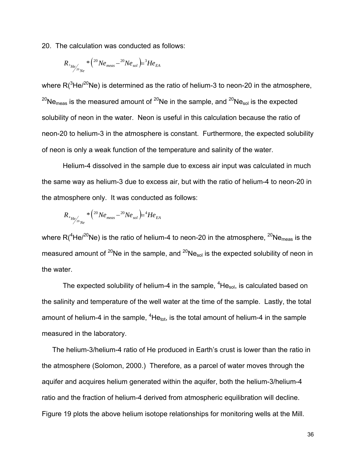20. The calculation was conducted as follows:

$$
{R_{^3}_{{He}\atop{_{20}}_{N{e}}}}^*\left( ^{20}Ne_{meas} - ^{20}Ne_{sol} \right) = ^3\!He_{EA}
$$

where  $R(^{3}$ He/<sup>20</sup>Ne) is determined as the ratio of helium-3 to neon-20 in the atmosphere,  $^{20}$ Ne<sub>meas</sub> is the measured amount of  $^{20}$ Ne in the sample, and  $^{20}$ Ne<sub>sol</sub> is the expected solubility of neon in the water. Neon is useful in this calculation because the ratio of neon-20 to helium-3 in the atmosphere is constant. Furthermore, the expected solubility of neon is only a weak function of the temperature and salinity of the water.

 Helium-4 dissolved in the sample due to excess air input was calculated in much the same way as helium-3 due to excess air, but with the ratio of helium-4 to neon-20 in the atmosphere only. It was conducted as follows:

$$
{R_{^4} }_{He\!\!\!/_{20} }{}_{Ne}^{* } \left( ^{20} Ne_{meas} - ^{20}Ne_{sol} \right) \!\!\!\!\! \right. \! \left. + 4He_{EA} \right.
$$

where R( $^{4}$ He/ $^{20}$ Ne) is the ratio of helium-4 to neon-20 in the atmosphere,  $^{20}$ Ne<sub>meas</sub> is the measured amount of <sup>20</sup>Ne in the sample, and <sup>20</sup>Ne<sub>sol</sub> is the expected solubility of neon in the water.

The expected solubility of helium-4 in the sample,  ${}^{4}$ He<sub>sol</sub>, is calculated based on the salinity and temperature of the well water at the time of the sample. Lastly, the total amount of helium-4 in the sample,  ${}^{4}$ He<sub>tot</sub>, is the total amount of helium-4 in the sample measured in the laboratory.

 The helium-3/helium-4 ratio of He produced in Earth's crust is lower than the ratio in the atmosphere (Solomon, 2000.) Therefore, as a parcel of water moves through the aquifer and acquires helium generated within the aquifer, both the helium-3/helium-4 ratio and the fraction of helium-4 derived from atmospheric equilibration will decline. Figure 19 plots the above helium isotope relationships for monitoring wells at the Mill.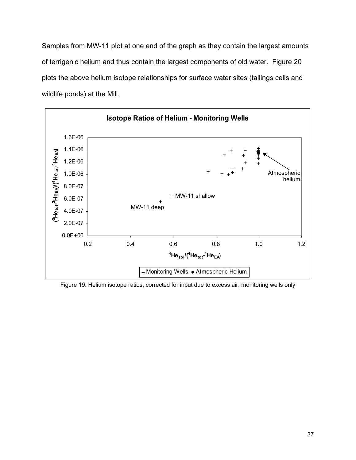Samples from MW-11 plot at one end of the graph as they contain the largest amounts of terrigenic helium and thus contain the largest components of old water. Figure 20 plots the above helium isotope relationships for surface water sites (tailings cells and wildlife ponds) at the Mill.



Figure 19: Helium isotope ratios, corrected for input due to excess air; monitoring wells only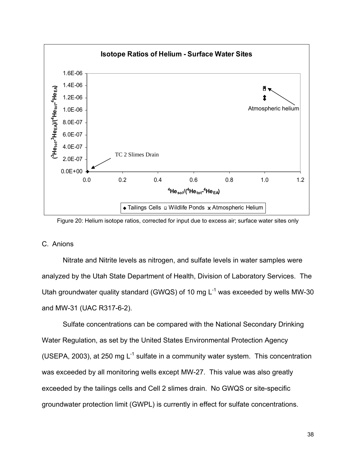



# C. Anions

Nitrate and Nitrite levels as nitrogen, and sulfate levels in water samples were analyzed by the Utah State Department of Health, Division of Laboratory Services. The Utah groundwater quality standard (GWQS) of 10 mg  $L^{-1}$  was exceeded by wells MW-30 and MW-31 (UAC R317-6-2).

Sulfate concentrations can be compared with the National Secondary Drinking Water Regulation, as set by the United States Environmental Protection Agency (USEPA, 2003), at 250 mg  $L^{-1}$  sulfate in a community water system. This concentration was exceeded by all monitoring wells except MW-27. This value was also greatly exceeded by the tailings cells and Cell 2 slimes drain. No GWQS or site-specific groundwater protection limit (GWPL) is currently in effect for sulfate concentrations.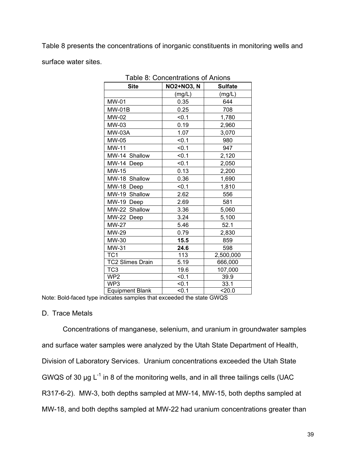Table 8 presents the concentrations of inorganic constituents in monitoring wells and surface water sites.

| Table 8: Concentrations of Anions |                   |                |  |  |  |
|-----------------------------------|-------------------|----------------|--|--|--|
| <b>Site</b>                       | <b>NO2+NO3, N</b> | <b>Sulfate</b> |  |  |  |
|                                   | (mg/L)            | (mg/L)         |  |  |  |
| MW-01                             | 0.35              | 644            |  |  |  |
| <b>MW-01B</b>                     | 0.25              | 708            |  |  |  |
| MW-02                             | < 0.1             | 1,780          |  |  |  |
| MW-03                             | 0.19              | 2,960          |  |  |  |
| <b>MW-03A</b>                     | 1.07              | 3,070          |  |  |  |
| MW-05                             | < 0.1             | 980            |  |  |  |
| MW-11                             | < 0.1             | 947            |  |  |  |
| MW-14 Shallow                     | < 0.1             | 2,120          |  |  |  |
| MW-14 Deep                        | < 0.1             | 2,050          |  |  |  |
| MW-15                             | 0.13              | 2,200          |  |  |  |
| MW-18 Shallow                     | 0.36              | 1,690          |  |  |  |
| MW-18 Deep                        | < 0.1             | 1,810          |  |  |  |
| MW-19 Shallow                     | 2.62              | 556            |  |  |  |
| MW-19 Deep                        | 2.69              | 581            |  |  |  |
| MW-22 Shallow                     | 3.36              | 5,060          |  |  |  |
| MW-22 Deep                        | 3.24              | 5,100          |  |  |  |
| <b>MW-27</b>                      | 5.46              | 52.1           |  |  |  |
| MW-29                             | 0.79              | 2,830          |  |  |  |
| MW-30                             | 15.5              | 859            |  |  |  |
| MW-31                             | 24.6              | 598            |  |  |  |
| TC <sub>1</sub>                   | 113               | 2,500,000      |  |  |  |
| <b>TC2 Slimes Drain</b>           | 5.19              | 666,000        |  |  |  |
| TC <sub>3</sub>                   | 19.6              | 107,000        |  |  |  |
| WP <sub>2</sub>                   | < 0.1             | 39.9           |  |  |  |
| WP3                               | < 0.1             | 33.1           |  |  |  |
| <b>Equipment Blank</b>            | < 0.1             | 20.0           |  |  |  |

Table 8: Concentrations of Anions

Note: Bold-faced type indicates samples that exceeded the state GWQS

# D. Trace Metals

Concentrations of manganese, selenium, and uranium in groundwater samples and surface water samples were analyzed by the Utah State Department of Health, Division of Laboratory Services. Uranium concentrations exceeded the Utah State GWQS of 30  $\mu$ g L<sup>-1</sup> in 8 of the monitoring wells, and in all three tailings cells (UAC R317-6-2). MW-3, both depths sampled at MW-14, MW-15, both depths sampled at MW-18, and both depths sampled at MW-22 had uranium concentrations greater than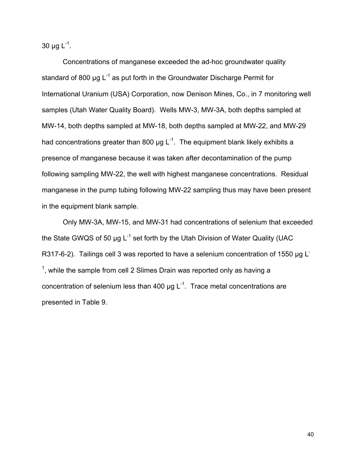30  $\mu$ g L<sup>-1</sup>.

Concentrations of manganese exceeded the ad-hoc groundwater quality standard of 800 µg  $L^{-1}$  as put forth in the Groundwater Discharge Permit for International Uranium (USA) Corporation, now Denison Mines, Co., in 7 monitoring well samples (Utah Water Quality Board). Wells MW-3, MW-3A, both depths sampled at MW-14, both depths sampled at MW-18, both depths sampled at MW-22, and MW-29 had concentrations greater than 800  $\mu$ g L<sup>-1</sup>. The equipment blank likely exhibits a presence of manganese because it was taken after decontamination of the pump following sampling MW-22, the well with highest manganese concentrations. Residual manganese in the pump tubing following MW-22 sampling thus may have been present in the equipment blank sample.

Only MW-3A, MW-15, and MW-31 had concentrations of selenium that exceeded the State GWQS of 50 µg  $L^{-1}$  set forth by the Utah Division of Water Quality (UAC R317-6-2). Tailings cell 3 was reported to have a selenium concentration of 1550 µg L  $<sup>1</sup>$ , while the sample from cell 2 Slimes Drain was reported only as having a</sup> concentration of selenium less than 400  $\mu$ g L<sup>-1</sup>. Trace metal concentrations are presented in Table 9.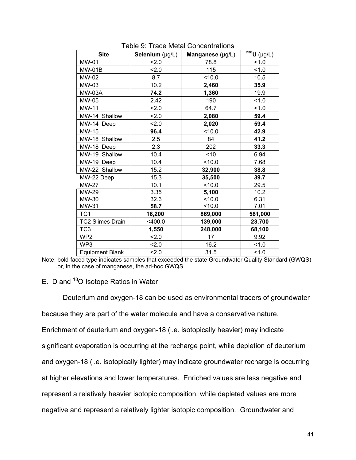| <b>Site</b>             | Selenium (µg/L) | Manganese (µg/L) | $\overline{\overline{^{238}}U(\mu g/L)}$ |
|-------------------------|-----------------|------------------|------------------------------------------|
| MW-01                   | 2.0             | 78.8             | 1.0                                      |
| $MW-01B$                | 2.0             | 115              | 1.0                                      |
| MW-02                   | 8.7             | < 10.0           | 10.5                                     |
| MW-03                   | 10.2            | 2,460            | 35.9                                     |
| <b>MW-03A</b>           | 74.2            | 1,360            | 19.9                                     |
| MW-05                   | 2.42            | 190              | 1.0                                      |
| <b>MW-11</b>            | 2.0             | 64.7             | 1.0                                      |
| MW-14 Shallow           | 2.0             | 2,080            | 59.4                                     |
| MW-14 Deep              | 2.0             | 2,020            | 59.4                                     |
| MW-15                   | 96.4            | < 10.0           | 42.9                                     |
| MW-18 Shallow           | 2.5             | 84               | 41.2                                     |
| MW-18 Deep              | 2.3             | 202              | 33.3                                     |
| MW-19 Shallow           | 10.4            | ~10              | 6.94                                     |
| MW-19 Deep              | 10.4            | < 10.0           | 7.68                                     |
| MW-22 Shallow           | 15.2            | 32,900           | 38.8                                     |
| MW-22 Deep              | 15.3            | 35,500           | 39.7                                     |
| <b>MW-27</b>            | 10.1            | < 10.0           | 29.5                                     |
| MW-29                   | 3.35            | 5,100            | 10.2                                     |
| MW-30                   | 32.6            | 10.0             | 6.31                                     |
| MW-31                   | 58.7            | 10.0             | 7.01                                     |
| TC <sub>1</sub>         | 16,200          | 869,000          | 581,000                                  |
| <b>TC2 Slimes Drain</b> | $<$ 400.0       | 139,000          | 23,700                                   |
| TC <sub>3</sub>         | 1,550           | 248,000          | 68,100                                   |
| WP <sub>2</sub>         | 2.0             | 17               | 9.92                                     |
| WP3                     | 2.0             | 16.2             | 1.0                                      |
| <b>Equipment Blank</b>  | 2.0             | 31.5             | 1.0                                      |

Table 9: Trace Metal Concentrations

Note: bold-faced type indicates samples that exceeded the state Groundwater Quality Standard (GWQS) or, in the case of manganese, the ad-hoc GWQS

E. D and <sup>18</sup>O Isotope Ratios in Water

Deuterium and oxygen-18 can be used as environmental tracers of groundwater

because they are part of the water molecule and have a conservative nature.

Enrichment of deuterium and oxygen-18 (i.e. isotopically heavier) may indicate

significant evaporation is occurring at the recharge point, while depletion of deuterium

and oxygen-18 (i.e. isotopically lighter) may indicate groundwater recharge is occurring

at higher elevations and lower temperatures. Enriched values are less negative and

represent a relatively heavier isotopic composition, while depleted values are more

negative and represent a relatively lighter isotopic composition. Groundwater and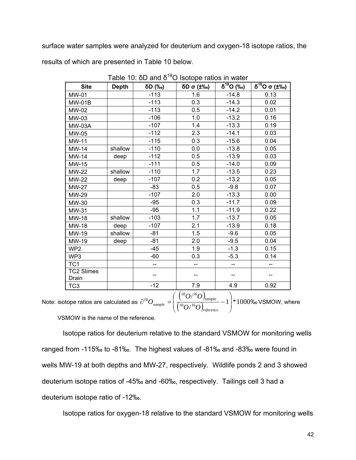surface water samples were analyzed for deuterium and oxygen-18 isotope ratios, the

results of which are presented in Table 10 below.

| <b>Site</b>                | <b>Depth</b> | δD (‰) | $\delta$ D σ (±‰)  | $\overline{\delta^{18}O}$ (‰) | $\overline{\delta^{18}O}$ $\sigma$ (±‰) |
|----------------------------|--------------|--------|--------------------|-------------------------------|-----------------------------------------|
| MW-01                      |              | $-113$ | 1.6                | $-14.8$                       | 0.13                                    |
| $MW-01B$                   |              | $-113$ | 0.3                | $-14.3$                       | 0.02                                    |
| MW-02                      |              | $-113$ | 0.5                | $-14.2$                       | 0.01                                    |
| MW-03                      |              | $-106$ | 1.0                | $-13.2$                       | 0.16                                    |
| <b>MW-03A</b>              |              | $-107$ | 1.4                | $-13.3$                       | 0.19                                    |
| MW-05                      |              | $-112$ | 2.3                | $-14.1$                       | 0.03                                    |
| <b>MW-11</b>               |              | $-115$ | 0.3                | $-15.6$                       | 0.04                                    |
| MW-14                      | shallow      | $-110$ | 0.0                | $-13.8$                       | 0.05                                    |
| <b>MW-14</b>               | deep         | $-112$ | 0.5                | $-13.9$                       | 0.03                                    |
| MW-15                      |              | $-111$ | 0.5                | $-14.0$                       | 0.09                                    |
| <b>MW-22</b>               | shallow      | $-110$ | 1.7                | $-13.5$                       | 0.23                                    |
| <b>MW-22</b>               | deep         | $-107$ | 0.2                | $-13.2$                       | 0.05                                    |
| <b>MW-27</b>               |              | $-83$  | 0.5                | $-9.8$                        | 0.07                                    |
| MW-29                      |              | $-107$ | 2.0                | $-13.3$                       | 0.00                                    |
| MW-30                      |              | $-95$  | 0.3                | $-11.7$                       | 0.09                                    |
| MW-31                      |              | $-95$  | 1.1                | $-11.9$                       | 0.22                                    |
| MW-18                      | shallow      | $-103$ | 1.7                | $-13.7$                       | 0.05                                    |
| MW-18                      | deep         | $-107$ | 2.1                | $-13.9$                       | 0.18                                    |
| MW-19                      | shallow      | $-81$  | 1.5                | $-9.6$                        | 0.05                                    |
| MW-19                      | deep         | $-81$  | 2.0                | $-9.5$                        | 0.04                                    |
| WP <sub>2</sub>            |              | $-45$  | 1.9                | $-1.3$                        | 0.15                                    |
| WP3                        |              | $-60$  | 0.3                | $-5.3$                        | 0.14                                    |
| TC <sub>1</sub>            |              | $-$    | --                 | --                            | --                                      |
| <b>TC2 Slimes</b><br>Drain |              | --     |                    | --                            |                                         |
| TC <sub>3</sub>            |              | $-12$  | 7.9<br>$(10 - 16)$ | 4.9<br>$\Delta$               | 0.92                                    |

Table 10: δD and  $δ^{18}$ O Isotope ratios in water

Note: isotope ratios are calculated as  $\partial^{18}O_{\textit{sample}} = \frac{{\binom{18}{3}}\partial^{16}O}{\binom{18}{3}\sqrt{16}}$  $\left(\frac{18}{100}\right)^{16}$   $\left(\frac{18}{100}\right)^{16}$   $\left(\frac{18}{100}\right)^{16}$   $\left(\frac{18}{100}\right)^{16}$   $\left(\frac{18}{100}\right)^{16}$   $\left(\frac{18}{100}\right)^{16}$   $\left(\frac{18}{100}\right)^{16}$   $\left(\frac{18}{100}\right)^{16}$   $\left(\frac{18}{100}\right)^{16}$   $\left(\frac{18}{100}\right)^{16}$   $\left(\frac{18}{10$ /  $18 \bigcap_{16} 16$  $18 \bigcap_{16} 16$ <sup>18</sup> $O_{\text{sample}} = \left( \frac{18}{\sqrt{18} Q^{16} O} \right)_{\text{sample}} - 1$  $\overline{\phantom{a}}$ ⎠ ⎞  $\overline{a}$  $\mathsf I$ ⎝  $\big($  $\partial^{18}O_{\text{sample}} = \frac{1}{18.16 \times 16^{-3}}$  – *reference sample sample*  $^ ($   $\frac{18}{O}$   $/ \frac{16}{O}$  $O/{}^{16}O$  $O_{sample} = \frac{1}{\sqrt{18 - 16.5}} - 1$  \* 1000\% VSMOW, where

VSMOW is the name of the reference.

 Isotope ratios for deuterium relative to the standard VSMOW for monitoring wells ranged from -115‰ to -81‰. The highest values of -81‰ and -83‰ were found in wells MW-19 at both depths and MW-27, respectively. Wildlife ponds 2 and 3 showed deuterium isotope ratios of -45‰ and -60‰, respectively. Tailings cell 3 had a deuterium isotope ratio of -12‰.

Isotope ratios for oxygen-18 relative to the standard VSMOW for monitoring wells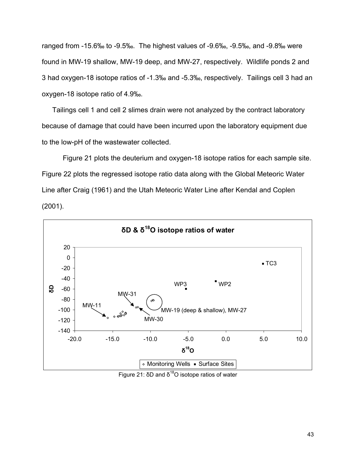ranged from -15.6‰ to -9.5‰. The highest values of -9.6‰, -9.5‰, and -9.8‰ were found in MW-19 shallow, MW-19 deep, and MW-27, respectively. Wildlife ponds 2 and 3 had oxygen-18 isotope ratios of -1.3‰ and -5.3‰, respectively. Tailings cell 3 had an oxygen-18 isotope ratio of 4.9‰.

 Tailings cell 1 and cell 2 slimes drain were not analyzed by the contract laboratory because of damage that could have been incurred upon the laboratory equipment due to the low-pH of the wastewater collected.

 Figure 21 plots the deuterium and oxygen-18 isotope ratios for each sample site. Figure 22 plots the regressed isotope ratio data along with the Global Meteoric Water Line after Craig (1961) and the Utah Meteoric Water Line after Kendal and Coplen (2001).



Figure 21:  $δD$  and  $δ$ <sup>18</sup> $O$  isotope ratios of water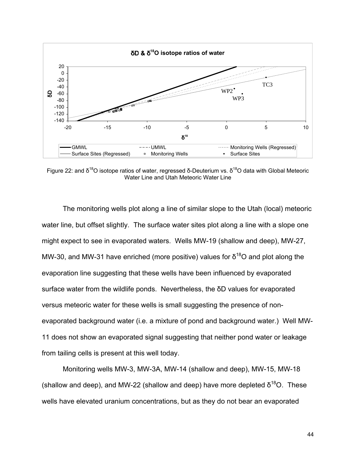

Figure 22: and δ<sup>18</sup>O isotope ratios of water, regressed δ-Deuterium vs. δ<sup>18</sup>O data with Global Meteoric Water Line and Utah Meteoric Water Line

 The monitoring wells plot along a line of similar slope to the Utah (local) meteoric water line, but offset slightly. The surface water sites plot along a line with a slope one might expect to see in evaporated waters. Wells MW-19 (shallow and deep), MW-27, MW-30, and MW-31 have enriched (more positive) values for  $\delta^{18}$ O and plot along the evaporation line suggesting that these wells have been influenced by evaporated surface water from the wildlife ponds. Nevertheless, the δD values for evaporated versus meteoric water for these wells is small suggesting the presence of nonevaporated background water (i.e. a mixture of pond and background water.) Well MW-11 does not show an evaporated signal suggesting that neither pond water or leakage from tailing cells is present at this well today.

 Monitoring wells MW-3, MW-3A, MW-14 (shallow and deep), MW-15, MW-18 (shallow and deep), and MW-22 (shallow and deep) have more depleted  $\delta^{18}O$ . These wells have elevated uranium concentrations, but as they do not bear an evaporated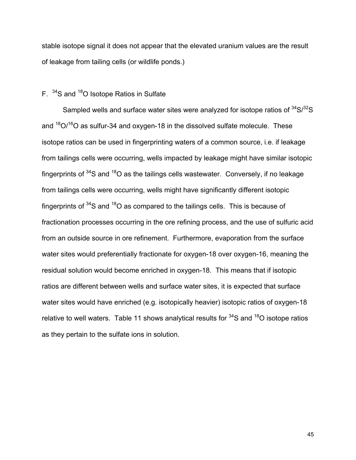stable isotope signal it does not appear that the elevated uranium values are the result of leakage from tailing cells (or wildlife ponds.)

# F.  $34$ S and  $18$ O Isotope Ratios in Sulfate

Sampled wells and surface water sites were analyzed for isotope ratios of  $34\text{S}/32\text{S}$ and  $18O/16O$  as sulfur-34 and oxygen-18 in the dissolved sulfate molecule. These isotope ratios can be used in fingerprinting waters of a common source, i.e. if leakage from tailings cells were occurring, wells impacted by leakage might have similar isotopic fingerprints of  $34S$  and  $18O$  as the tailings cells wastewater. Conversely, if no leakage from tailings cells were occurring, wells might have significantly different isotopic fingerprints of  $34$ S and  $18$ O as compared to the tailings cells. This is because of fractionation processes occurring in the ore refining process, and the use of sulfuric acid from an outside source in ore refinement. Furthermore, evaporation from the surface water sites would preferentially fractionate for oxygen-18 over oxygen-16, meaning the residual solution would become enriched in oxygen-18. This means that if isotopic ratios are different between wells and surface water sites, it is expected that surface water sites would have enriched (e.g. isotopically heavier) isotopic ratios of oxygen-18 relative to well waters. Table 11 shows analytical results for  $34S$  and  $18O$  isotope ratios as they pertain to the sulfate ions in solution.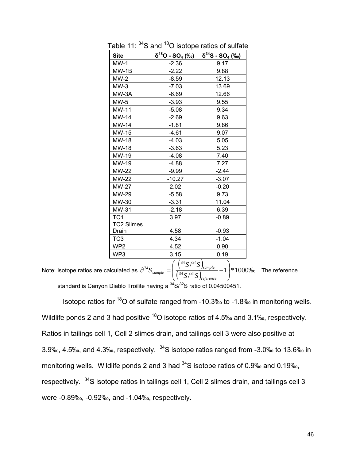| <b>Site</b>       | δ <sup>18</sup> O - SO <u>4 (‰)</u> | δ <sup>34</sup> S - SO <sub>4</sub> (‰) |  |
|-------------------|-------------------------------------|-----------------------------------------|--|
| $MW-1$            | $-2.36$                             | 9.17                                    |  |
| $MW-1B$           | $-2.22$                             | 9.88                                    |  |
| $MW-2$            | -8.59                               | 12.13                                   |  |
| $MW-3$            | $-7.03$                             | 13.69                                   |  |
| MW-3A             | $-6.69$                             | 12.66                                   |  |
| $MW-5$            | $-3.93$                             | 9.55                                    |  |
| MW-11             | $-5.08$                             | 9.34                                    |  |
| MW-14             | -2.69                               | 9.63                                    |  |
| MW-14             | $-1.81$                             | 9.86                                    |  |
| MW-15             | -4.61                               | 9.07                                    |  |
| MW-18             | $-4.03$                             | 5.05                                    |  |
| MW-18             | $-3.63$                             | 5.23                                    |  |
| MW-19             | $-4.08$                             | 7.40                                    |  |
| MW-19             | $-4.88$                             | 7.27                                    |  |
| MW-22             | $-9.99$                             | -2.44                                   |  |
| MW-22             | $-10.27$                            | $-3.07$                                 |  |
| <b>MW-27</b>      | 2.02                                | $-0.20$                                 |  |
| MW-29             | $-5.58$                             | 9.73                                    |  |
| MW-30             | $-3.31$                             | 11.04                                   |  |
| MW-31             | $-2.18$                             | 6.39                                    |  |
| TC <sub>1</sub>   | 3.97                                | $-0.89$                                 |  |
| <b>TC2 Slimes</b> |                                     |                                         |  |
| Drain             | 4.58                                | $-0.93$                                 |  |
| TC3               | 4.34                                | $-1.04$                                 |  |
| WP2               | 4.52                                | 0.90                                    |  |
| WP3               | 3.15                                | 0.19                                    |  |

Table 11:  $34$ S and  $18$ O isotope ratios of sulfate

Note: isotope ratios are calculated as  $\partial^{34}S_{\text{sample}} = \left( \frac{ \binom{34}{3} S / \binom{34}{5} }{ \binom{24}{24} + \binom{24}{12}} \right)$  $\left(\frac{34}{34}S/\frac{34}{5S}\right)_{reference}$  - 1 \example 1000\% /  $34 \times 34$ 34  $\sigma$  / 34  $\frac{34}{3}S_{sample} = \frac{1}{34} \frac{S}{S} \left( \frac{S}{34} \frac{S}{S} \right)_{sample} - 1$  $\overline{\phantom{a}}$ ⎠ ⎞  $\overline{a}$  $\mathsf{L}$ ⎝  $\big($  $\partial^{34}S_{sample} = \frac{1}{734 \times 34 \times 10^{-10}}$ *reference sample sample*  $\sqrt{\frac{34}{5}}$  /  $\frac{34}{5}$  $S/^{34}S$  $S_{sample} = \frac{1}{7.34 \times 10^{34} \text{ s}} - 1$  \\*1000\% The reference standard is Canyon Diablo Troilite having a <sup>34</sup>S/<sup>32</sup>S ratio of 0.04500451.

Isotope ratios for <sup>18</sup>O of sulfate ranged from -10.3‰ to -1.8‰ in monitoring wells. Wildlife ponds 2 and 3 had positive <sup>18</sup>O isotope ratios of 4.5‰ and 3.1‰, respectively. Ratios in tailings cell 1, Cell 2 slimes drain, and tailings cell 3 were also positive at 3.9‰, 4.5‰, and 4.3‰, respectively. 34S isotope ratios ranged from -3.0‰ to 13.6‰ in monitoring wells. Wildlife ponds 2 and 3 had <sup>34</sup>S isotope ratios of 0.9‰ and 0.19‰, respectively. 34S isotope ratios in tailings cell 1, Cell 2 slimes drain, and tailings cell 3 were -0.89‰, -0.92‰, and -1.04‰, respectively.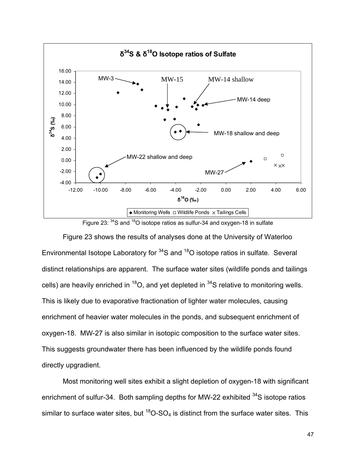



Figure 23 shows the results of analyses done at the University of Waterloo Environmental Isotope Laboratory for  $34S$  and  $18O$  isotope ratios in sulfate. Several distinct relationships are apparent. The surface water sites (wildlife ponds and tailings cells) are heavily enriched in  ${}^{18}O$ , and yet depleted in  ${}^{34}S$  relative to monitoring wells. This is likely due to evaporative fractionation of lighter water molecules, causing enrichment of heavier water molecules in the ponds, and subsequent enrichment of oxygen-18. MW-27 is also similar in isotopic composition to the surface water sites. This suggests groundwater there has been influenced by the wildlife ponds found directly upgradient.

Most monitoring well sites exhibit a slight depletion of oxygen-18 with significant enrichment of sulfur-34. Both sampling depths for MW-22 exhibited <sup>34</sup>S isotope ratios similar to surface water sites, but  $^{18}O$ -SO<sub>4</sub> is distinct from the surface water sites. This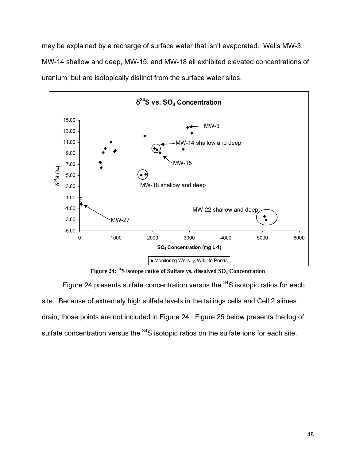may be explained by a recharge of surface water that isn't evaporated. Wells MW-3, MW-14 shallow and deep, MW-15, and MW-18 all exhibited elevated concentrations of uranium, but are isotopically distinct from the surface water sites.



**Figure 24: 34S isotope ratios of Sulfate vs. dissolved SO4 Concentration**

Figure 24 presents sulfate concentration versus the  $34S$  isotopic ratios for each site. Because of extremely high sulfate levels in the tailings cells and Cell 2 slimes drain, those points are not included in Figure 24. Figure 25 below presents the log of sulfate concentration versus the <sup>34</sup>S isotopic ratios on the sulfate ions for each site.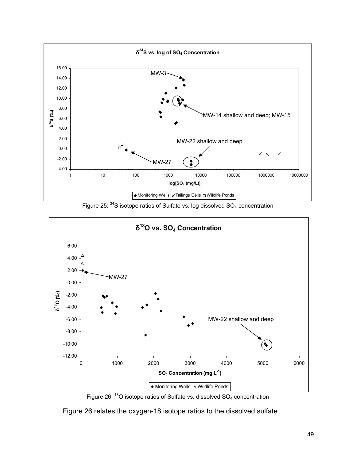

Figure 25:  $34$ S isotope ratios of Sulfate vs. log dissolved  $SO_4$  concentration



Figure 26:  $18$ O isotope ratios of Sulfate vs. dissolved SO<sub>4</sub> concentration

Figure 26 relates the oxygen-18 isotope ratios to the dissolved sulfate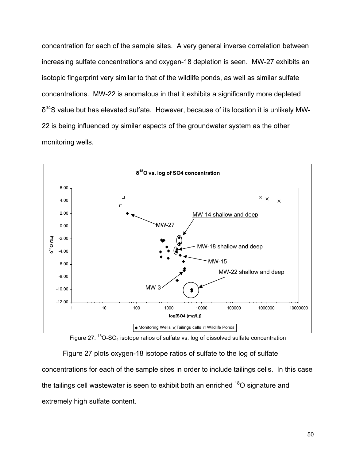concentration for each of the sample sites. A very general inverse correlation between increasing sulfate concentrations and oxygen-18 depletion is seen. MW-27 exhibits an isotopic fingerprint very similar to that of the wildlife ponds, as well as similar sulfate concentrations. MW-22 is anomalous in that it exhibits a significantly more depleted  $\delta^{34}$ S value but has elevated sulfate. However, because of its location it is unlikely MW-22 is being influenced by similar aspects of the groundwater system as the other monitoring wells.





Figure 27 plots oxygen-18 isotope ratios of sulfate to the log of sulfate concentrations for each of the sample sites in order to include tailings cells. In this case the tailings cell wastewater is seen to exhibit both an enriched <sup>18</sup>O signature and extremely high sulfate content.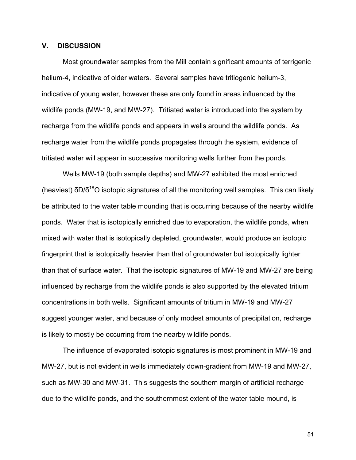# **V. DISCUSSION**

Most groundwater samples from the Mill contain significant amounts of terrigenic helium-4, indicative of older waters. Several samples have tritiogenic helium-3, indicative of young water, however these are only found in areas influenced by the wildlife ponds (MW-19, and MW-27). Tritiated water is introduced into the system by recharge from the wildlife ponds and appears in wells around the wildlife ponds. As recharge water from the wildlife ponds propagates through the system, evidence of tritiated water will appear in successive monitoring wells further from the ponds.

Wells MW-19 (both sample depths) and MW-27 exhibited the most enriched (heaviest)  $\delta D/\delta^{18}O$  isotopic signatures of all the monitoring well samples. This can likely be attributed to the water table mounding that is occurring because of the nearby wildlife ponds. Water that is isotopically enriched due to evaporation, the wildlife ponds, when mixed with water that is isotopically depleted, groundwater, would produce an isotopic fingerprint that is isotopically heavier than that of groundwater but isotopically lighter than that of surface water. That the isotopic signatures of MW-19 and MW-27 are being influenced by recharge from the wildlife ponds is also supported by the elevated tritium concentrations in both wells. Significant amounts of tritium in MW-19 and MW-27 suggest younger water, and because of only modest amounts of precipitation, recharge is likely to mostly be occurring from the nearby wildlife ponds.

The influence of evaporated isotopic signatures is most prominent in MW-19 and MW-27, but is not evident in wells immediately down-gradient from MW-19 and MW-27, such as MW-30 and MW-31. This suggests the southern margin of artificial recharge due to the wildlife ponds, and the southernmost extent of the water table mound, is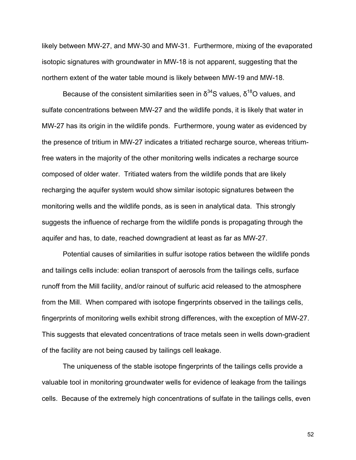likely between MW-27, and MW-30 and MW-31. Furthermore, mixing of the evaporated isotopic signatures with groundwater in MW-18 is not apparent, suggesting that the northern extent of the water table mound is likely between MW-19 and MW-18.

Because of the consistent similarities seen in  $\delta^{34}$ S values,  $\delta^{18}$ O values, and sulfate concentrations between MW-27 and the wildlife ponds, it is likely that water in MW-27 has its origin in the wildlife ponds. Furthermore, young water as evidenced by the presence of tritium in MW-27 indicates a tritiated recharge source, whereas tritiumfree waters in the majority of the other monitoring wells indicates a recharge source composed of older water. Tritiated waters from the wildlife ponds that are likely recharging the aquifer system would show similar isotopic signatures between the monitoring wells and the wildlife ponds, as is seen in analytical data. This strongly suggests the influence of recharge from the wildlife ponds is propagating through the aquifer and has, to date, reached downgradient at least as far as MW-27.

 Potential causes of similarities in sulfur isotope ratios between the wildlife ponds and tailings cells include: eolian transport of aerosols from the tailings cells, surface runoff from the Mill facility, and/or rainout of sulfuric acid released to the atmosphere from the Mill. When compared with isotope fingerprints observed in the tailings cells, fingerprints of monitoring wells exhibit strong differences, with the exception of MW-27. This suggests that elevated concentrations of trace metals seen in wells down-gradient of the facility are not being caused by tailings cell leakage.

 The uniqueness of the stable isotope fingerprints of the tailings cells provide a valuable tool in monitoring groundwater wells for evidence of leakage from the tailings cells. Because of the extremely high concentrations of sulfate in the tailings cells, even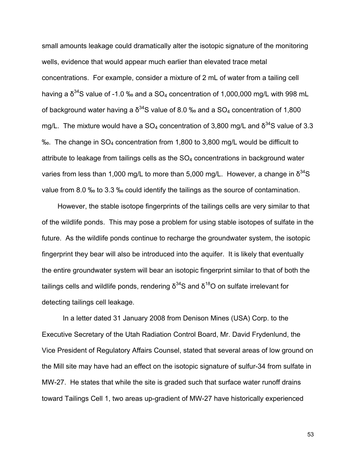small amounts leakage could dramatically alter the isotopic signature of the monitoring wells, evidence that would appear much earlier than elevated trace metal concentrations. For example, consider a mixture of 2 mL of water from a tailing cell having a  $\delta^{34}$ S value of -1.0 ‰ and a SO<sub>4</sub> concentration of 1,000,000 mg/L with 998 mL of background water having a  $\delta^{34}$ S value of 8.0 ‰ and a SO<sub>4</sub> concentration of 1,800 mg/L. The mixture would have a  $SO_4$  concentration of 3,800 mg/L and  $\delta^{34}S$  value of 3.3 ‰. The change in SO4 concentration from 1,800 to 3,800 mg/L would be difficult to attribute to leakage from tailings cells as the  $SO<sub>4</sub>$  concentrations in background water varies from less than 1,000 mg/L to more than 5,000 mg/L. However, a change in  $\delta^{34}S$ value from 8.0 ‰ to 3.3 ‰ could identify the tailings as the source of contamination.

 However, the stable isotope fingerprints of the tailings cells are very similar to that of the wildlife ponds. This may pose a problem for using stable isotopes of sulfate in the future. As the wildlife ponds continue to recharge the groundwater system, the isotopic fingerprint they bear will also be introduced into the aquifer. It is likely that eventually the entire groundwater system will bear an isotopic fingerprint similar to that of both the tailings cells and wildlife ponds, rendering  $\delta^{34}$ S and  $\delta^{18}$ O on sulfate irrelevant for detecting tailings cell leakage.

 In a letter dated 31 January 2008 from Denison Mines (USA) Corp. to the Executive Secretary of the Utah Radiation Control Board, Mr. David Frydenlund, the Vice President of Regulatory Affairs Counsel, stated that several areas of low ground on the Mill site may have had an effect on the isotopic signature of sulfur-34 from sulfate in MW-27. He states that while the site is graded such that surface water runoff drains toward Tailings Cell 1, two areas up-gradient of MW-27 have historically experienced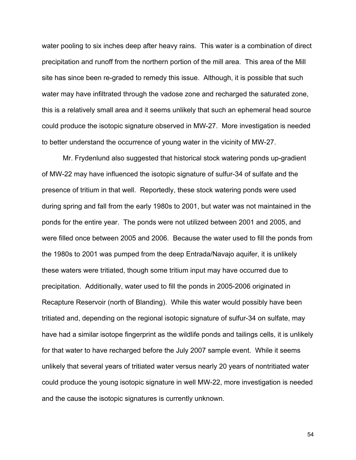water pooling to six inches deep after heavy rains. This water is a combination of direct precipitation and runoff from the northern portion of the mill area. This area of the Mill site has since been re-graded to remedy this issue. Although, it is possible that such water may have infiltrated through the vadose zone and recharged the saturated zone, this is a relatively small area and it seems unlikely that such an ephemeral head source could produce the isotopic signature observed in MW-27. More investigation is needed to better understand the occurrence of young water in the vicinity of MW-27.

 Mr. Frydenlund also suggested that historical stock watering ponds up-gradient of MW-22 may have influenced the isotopic signature of sulfur-34 of sulfate and the presence of tritium in that well. Reportedly, these stock watering ponds were used during spring and fall from the early 1980s to 2001, but water was not maintained in the ponds for the entire year. The ponds were not utilized between 2001 and 2005, and were filled once between 2005 and 2006. Because the water used to fill the ponds from the 1980s to 2001 was pumped from the deep Entrada/Navajo aquifer, it is unlikely these waters were tritiated, though some tritium input may have occurred due to precipitation. Additionally, water used to fill the ponds in 2005-2006 originated in Recapture Reservoir (north of Blanding). While this water would possibly have been tritiated and, depending on the regional isotopic signature of sulfur-34 on sulfate, may have had a similar isotope fingerprint as the wildlife ponds and tailings cells, it is unlikely for that water to have recharged before the July 2007 sample event. While it seems unlikely that several years of tritiated water versus nearly 20 years of nontritiated water could produce the young isotopic signature in well MW-22, more investigation is needed and the cause the isotopic signatures is currently unknown.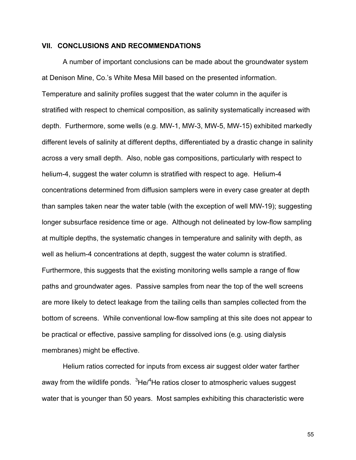# **VII. CONCLUSIONS AND RECOMMENDATIONS**

 A number of important conclusions can be made about the groundwater system at Denison Mine, Co.'s White Mesa Mill based on the presented information. Temperature and salinity profiles suggest that the water column in the aquifer is stratified with respect to chemical composition, as salinity systematically increased with depth. Furthermore, some wells (e.g. MW-1, MW-3, MW-5, MW-15) exhibited markedly different levels of salinity at different depths, differentiated by a drastic change in salinity across a very small depth. Also, noble gas compositions, particularly with respect to helium-4, suggest the water column is stratified with respect to age. Helium-4 concentrations determined from diffusion samplers were in every case greater at depth than samples taken near the water table (with the exception of well MW-19); suggesting longer subsurface residence time or age. Although not delineated by low-flow sampling at multiple depths, the systematic changes in temperature and salinity with depth, as well as helium-4 concentrations at depth, suggest the water column is stratified. Furthermore, this suggests that the existing monitoring wells sample a range of flow paths and groundwater ages. Passive samples from near the top of the well screens are more likely to detect leakage from the tailing cells than samples collected from the bottom of screens. While conventional low-flow sampling at this site does not appear to be practical or effective, passive sampling for dissolved ions (e.g. using dialysis membranes) might be effective.

 Helium ratios corrected for inputs from excess air suggest older water farther away from the wildlife ponds. <sup>3</sup>He/<sup>4</sup>He ratios closer to atmospheric values suggest water that is younger than 50 years. Most samples exhibiting this characteristic were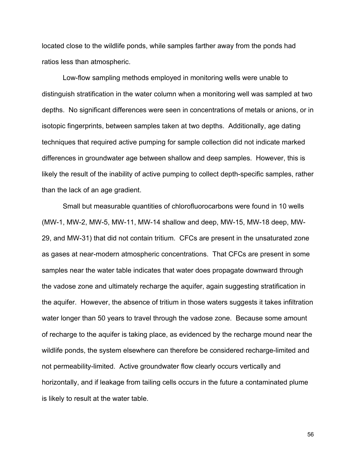located close to the wildlife ponds, while samples farther away from the ponds had ratios less than atmospheric.

 Low-flow sampling methods employed in monitoring wells were unable to distinguish stratification in the water column when a monitoring well was sampled at two depths. No significant differences were seen in concentrations of metals or anions, or in isotopic fingerprints, between samples taken at two depths. Additionally, age dating techniques that required active pumping for sample collection did not indicate marked differences in groundwater age between shallow and deep samples. However, this is likely the result of the inability of active pumping to collect depth-specific samples, rather than the lack of an age gradient.

 Small but measurable quantities of chlorofluorocarbons were found in 10 wells (MW-1, MW-2, MW-5, MW-11, MW-14 shallow and deep, MW-15, MW-18 deep, MW-29, and MW-31) that did not contain tritium. CFCs are present in the unsaturated zone as gases at near-modern atmospheric concentrations. That CFCs are present in some samples near the water table indicates that water does propagate downward through the vadose zone and ultimately recharge the aquifer, again suggesting stratification in the aquifer. However, the absence of tritium in those waters suggests it takes infiltration water longer than 50 years to travel through the vadose zone. Because some amount of recharge to the aquifer is taking place, as evidenced by the recharge mound near the wildlife ponds, the system elsewhere can therefore be considered recharge-limited and not permeability-limited. Active groundwater flow clearly occurs vertically and horizontally, and if leakage from tailing cells occurs in the future a contaminated plume is likely to result at the water table.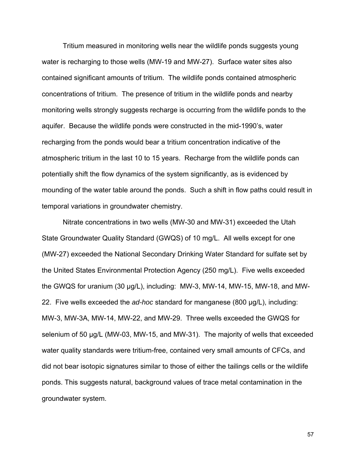Tritium measured in monitoring wells near the wildlife ponds suggests young water is recharging to those wells (MW-19 and MW-27). Surface water sites also contained significant amounts of tritium. The wildlife ponds contained atmospheric concentrations of tritium. The presence of tritium in the wildlife ponds and nearby monitoring wells strongly suggests recharge is occurring from the wildlife ponds to the aquifer. Because the wildlife ponds were constructed in the mid-1990's, water recharging from the ponds would bear a tritium concentration indicative of the atmospheric tritium in the last 10 to 15 years. Recharge from the wildlife ponds can potentially shift the flow dynamics of the system significantly, as is evidenced by mounding of the water table around the ponds. Such a shift in flow paths could result in temporal variations in groundwater chemistry.

 Nitrate concentrations in two wells (MW-30 and MW-31) exceeded the Utah State Groundwater Quality Standard (GWQS) of 10 mg/L. All wells except for one (MW-27) exceeded the National Secondary Drinking Water Standard for sulfate set by the United States Environmental Protection Agency (250 mg/L). Five wells exceeded the GWQS for uranium (30 µg/L), including: MW-3, MW-14, MW-15, MW-18, and MW-22. Five wells exceeded the *ad-hoc* standard for manganese (800 µg/L), including: MW-3, MW-3A, MW-14, MW-22, and MW-29. Three wells exceeded the GWQS for selenium of 50 µg/L (MW-03, MW-15, and MW-31). The majority of wells that exceeded water quality standards were tritium-free, contained very small amounts of CFCs, and did not bear isotopic signatures similar to those of either the tailings cells or the wildlife ponds. This suggests natural, background values of trace metal contamination in the groundwater system.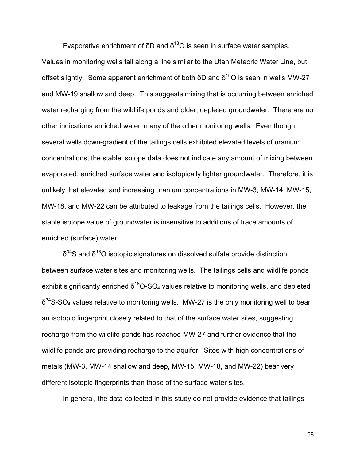Evaporative enrichment of δD and  $δ^{18}$ O is seen in surface water samples. Values in monitoring wells fall along a line similar to the Utah Meteoric Water Line, but offset slightly. Some apparent enrichment of both δD and  $δ^{18}$ O is seen in wells MW-27 and MW-19 shallow and deep. This suggests mixing that is occurring between enriched water recharging from the wildlife ponds and older, depleted groundwater. There are no other indications enriched water in any of the other monitoring wells. Even though several wells down-gradient of the tailings cells exhibited elevated levels of uranium concentrations, the stable isotope data does not indicate any amount of mixing between evaporated, enriched surface water and isotopically lighter groundwater. Therefore, it is unlikely that elevated and increasing uranium concentrations in MW-3, MW-14, MW-15, MW-18, and MW-22 can be attributed to leakage from the tailings cells. However, the stable isotope value of groundwater is insensitive to additions of trace amounts of enriched (surface) water.

 $δ<sup>34</sup>S$  and  $δ<sup>18</sup>O$  isotopic signatures on dissolved sulfate provide distinction between surface water sites and monitoring wells. The tailings cells and wildlife ponds exhibit significantly enriched  $\delta^{18}O$ -SO<sub>4</sub> values relative to monitoring wells, and depleted  $\delta^{34}$ S-SO<sub>4</sub> values relative to monitoring wells. MW-27 is the only monitoring well to bear an isotopic fingerprint closely related to that of the surface water sites, suggesting recharge from the wildlife ponds has reached MW-27 and further evidence that the wildlife ponds are providing recharge to the aquifer. Sites with high concentrations of metals (MW-3, MW-14 shallow and deep, MW-15, MW-18, and MW-22) bear very different isotopic fingerprints than those of the surface water sites.

In general, the data collected in this study do not provide evidence that tailings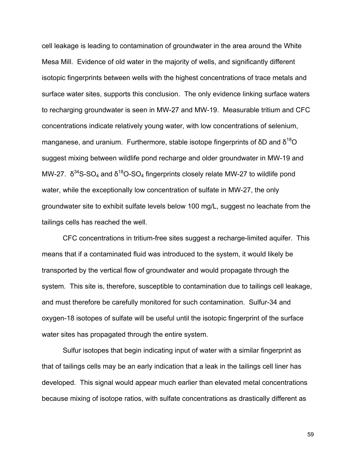cell leakage is leading to contamination of groundwater in the area around the White Mesa Mill. Evidence of old water in the majority of wells, and significantly different isotopic fingerprints between wells with the highest concentrations of trace metals and surface water sites, supports this conclusion. The only evidence linking surface waters to recharging groundwater is seen in MW-27 and MW-19. Measurable tritium and CFC concentrations indicate relatively young water, with low concentrations of selenium, manganese, and uranium. Furthermore, stable isotope fingerprints of  $\delta D$  and  $\delta^{18}O$ suggest mixing between wildlife pond recharge and older groundwater in MW-19 and MW-27.  $\delta^{34}S\text{-}SO_4$  and  $\delta^{18}O\text{-}SO_4$  fingerprints closely relate MW-27 to wildlife pond water, while the exceptionally low concentration of sulfate in MW-27, the only groundwater site to exhibit sulfate levels below 100 mg/L, suggest no leachate from the tailings cells has reached the well.

 CFC concentrations in tritium-free sites suggest a recharge-limited aquifer. This means that if a contaminated fluid was introduced to the system, it would likely be transported by the vertical flow of groundwater and would propagate through the system. This site is, therefore, susceptible to contamination due to tailings cell leakage, and must therefore be carefully monitored for such contamination. Sulfur-34 and oxygen-18 isotopes of sulfate will be useful until the isotopic fingerprint of the surface water sites has propagated through the entire system.

 Sulfur isotopes that begin indicating input of water with a similar fingerprint as that of tailings cells may be an early indication that a leak in the tailings cell liner has developed. This signal would appear much earlier than elevated metal concentrations because mixing of isotope ratios, with sulfate concentrations as drastically different as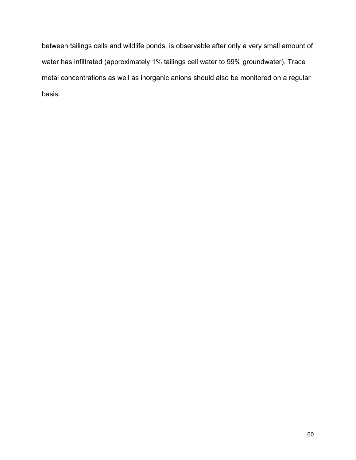between tailings cells and wildlife ponds, is observable after only a very small amount of water has infiltrated (approximately 1% tailings cell water to 99% groundwater). Trace metal concentrations as well as inorganic anions should also be monitored on a regular basis.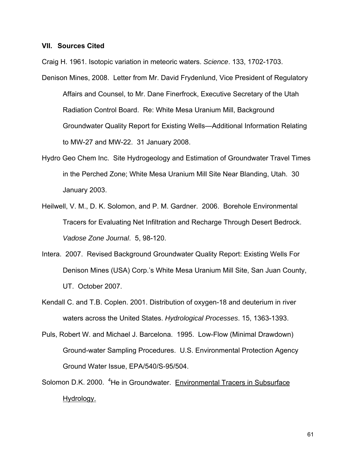# **VII. Sources Cited**

Craig H. 1961. Isotopic variation in meteoric waters. *Science*. 133, 1702-1703. Denison Mines, 2008. Letter from Mr. David Frydenlund, Vice President of Regulatory

Affairs and Counsel, to Mr. Dane Finerfrock, Executive Secretary of the Utah Radiation Control Board. Re: White Mesa Uranium Mill, Background Groundwater Quality Report for Existing Wells—Additional Information Relating to MW-27 and MW-22. 31 January 2008.

- Hydro Geo Chem Inc. Site Hydrogeology and Estimation of Groundwater Travel Times in the Perched Zone; White Mesa Uranium Mill Site Near Blanding, Utah. 30 January 2003.
- Heilwell, V. M., D. K. Solomon, and P. M. Gardner. 2006. Borehole Environmental Tracers for Evaluating Net Infiltration and Recharge Through Desert Bedrock. *Vadose Zone Journal*. 5, 98-120.
- Intera. 2007. Revised Background Groundwater Quality Report: Existing Wells For Denison Mines (USA) Corp.'s White Mesa Uranium Mill Site, San Juan County, UT. October 2007.
- Kendall C. and T.B. Coplen. 2001. Distribution of oxygen-18 and deuterium in river waters across the United States. *Hydrological Processes*. 15, 1363-1393.
- Puls, Robert W. and Michael J. Barcelona. 1995. Low-Flow (Minimal Drawdown) Ground-water Sampling Procedures. U.S. Environmental Protection Agency Ground Water Issue, EPA/540/S-95/504.
- Solomon D.K. 2000. <sup>4</sup>He in Groundwater. Environmental Tracers in Subsurface Hydrology.